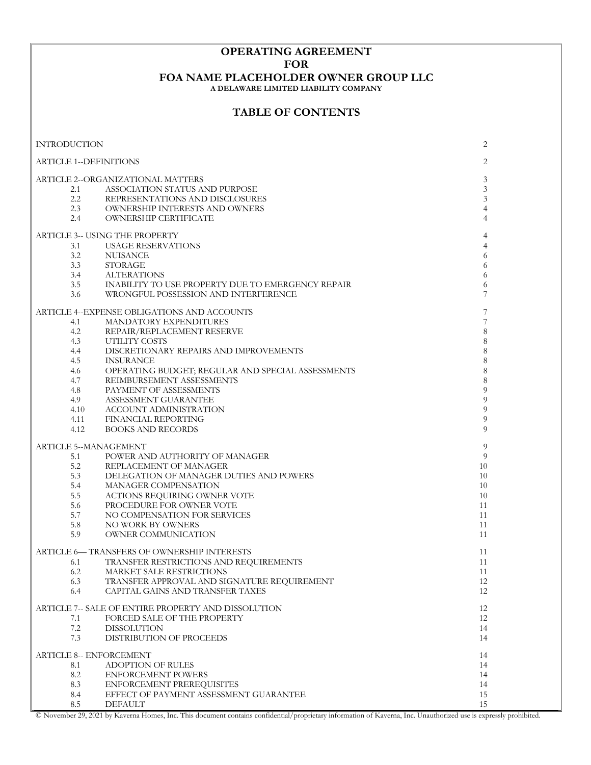## **OPERATING AGREEMENT FOR**

## **FOA NAME PLACEHOLDER OWNER GROUP LLC**

**A DELAWARE LIMITED LIABILITY COMPANY**

## **TABLE OF CONTENTS**

| <b>INTRODUCTION</b>               |                                                     | 2              |
|-----------------------------------|-----------------------------------------------------|----------------|
| <b>ARTICLE 1--DEFINITIONS</b>     | 2                                                   |                |
| ARTICLE 2--ORGANIZATIONAL MATTERS | 3                                                   |                |
| 2.1                               | ASSOCIATION STATUS AND PURPOSE                      | 3              |
| $2.2\,$                           | REPRESENTATIONS AND DISCLOSURES                     | 3              |
| 2.3                               | OWNERSHIP INTERESTS AND OWNERS                      | $\overline{4}$ |
| 2.4                               | <b>OWNERSHIP CERTIFICATE</b>                        | 4              |
|                                   |                                                     |                |
|                                   | ARTICLE 3-- USING THE PROPERTY                      | 4              |
| 3.1                               | <b>USAGE RESERVATIONS</b>                           | 4              |
| 3.2                               | NUISANCE                                            | 6              |
| 3.3                               | <b>STORAGE</b>                                      | 6              |
| 3.4                               | <b>ALTERATIONS</b>                                  | 6              |
| 3.5                               | INABILITY TO USE PROPERTY DUE TO EMERGENCY REPAIR   | 6              |
| 3.6                               | WRONGFUL POSSESSION AND INTERFERENCE                | 7              |
|                                   | ARTICLE 4--EXPENSE OBLIGATIONS AND ACCOUNTS         | $\overline{7}$ |
| 4.1                               | MANDATORY EXPENDITURES                              | 7              |
| 4.2                               | REPAIR/REPLACEMENT RESERVE                          | 8              |
| 4.3                               | UTILITY COSTS                                       | 8              |
| 4.4                               | DISCRETIONARY REPAIRS AND IMPROVEMENTS              | 8              |
| 4.5                               | <b>INSURANCE</b>                                    | 8              |
| 4.6                               | OPERATING BUDGET; REGULAR AND SPECIAL ASSESSMENTS   | 8              |
| 4.7                               | REIMBURSEMENT ASSESSMENTS                           | 8              |
| 4.8                               | PAYMENT OF ASSESSMENTS                              | 9              |
| 4.9                               | ASSESSMENT GUARANTEE                                | 9              |
| 4.10                              | ACCOUNT ADMINISTRATION                              | 9              |
| 4.11                              | FINANCIAL REPORTING                                 | 9              |
|                                   | <b>BOOKS AND RECORDS</b>                            | 9              |
| 4.12                              |                                                     |                |
| ARTICLE 5--MANAGEMENT             |                                                     | 9              |
| 5.1                               | POWER AND AUTHORITY OF MANAGER                      | 9              |
| 5.2                               | REPLACEMENT OF MANAGER                              | 10             |
| 5.3                               | DELEGATION OF MANAGER DUTIES AND POWERS             | 10             |
| 5.4                               | MANAGER COMPENSATION                                | 10             |
| 5.5                               | ACTIONS REQUIRING OWNER VOTE                        | 10             |
| 5.6                               | PROCEDURE FOR OWNER VOTE                            | 11             |
| 5.7                               | NO COMPENSATION FOR SERVICES                        | 11             |
| 5.8                               | NO WORK BY OWNERS                                   | 11             |
| 5.9                               | OWNER COMMUNICATION                                 | 11             |
|                                   | ARTICLE 6— TRANSFERS OF OWNERSHIP INTERESTS         | 11             |
| 6.1                               | TRANSFER RESTRICTIONS AND REQUIREMENTS              | 11             |
| 6.2                               | MARKET SALE RESTRICTIONS                            | 11             |
| 6.3                               | TRANSFER APPROVAL AND SIGNATURE REQUIREMENT         | 12             |
| 6.4                               | CAPITAL GAINS AND TRANSFER TAXES                    | 12             |
|                                   | ARTICLE 7-- SALE OF ENTIRE PROPERTY AND DISSOLUTION | 12             |
| 7.1                               | FORCED SALE OF THE PROPERTY                         | 12             |
| $7.2\,$                           | <b>DISSOLUTION</b>                                  | 14             |
| 7.3                               | DISTRIBUTION OF PROCEEDS                            | 14             |
|                                   | <b>ARTICLE 8-- ENFORCEMENT</b>                      | 14             |
| 8.1                               | <b>ADOPTION OF RULES</b>                            | 14             |
| 8.2                               | <b>ENFORCEMENT POWERS</b>                           | 14             |
|                                   |                                                     |                |
| 8.3                               | ENFORCEMENT PREREQUISITES                           | 14             |
| 8.4                               | EFFECT OF PAYMENT ASSESSMENT GUARANTEE              | 15             |
| 8.5                               | <b>DEFAULT</b>                                      | 15             |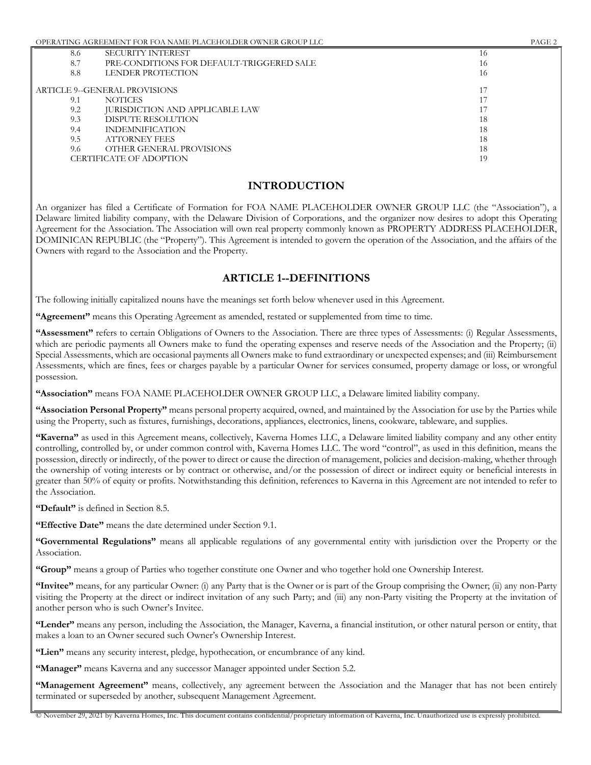| 8.6 | <b>SECURITY INTEREST</b>                  | 16 |
|-----|-------------------------------------------|----|
| 8.7 | PRE-CONDITIONS FOR DEFAULT-TRIGGERED SALE | 16 |
| 8.8 | LENDER PROTECTION                         | 16 |
|     |                                           |    |
|     | ARTICLE 9--GENERAL PROVISIONS             |    |
| 9.1 | <b>NOTICES</b>                            |    |
| 9.2 | <b>JURISDICTION AND APPLICABLE LAW</b>    |    |
| 9.3 | DISPUTE RESOLUTION                        | 18 |
| 9.4 | <b>INDEMNIFICATION</b>                    | 18 |
| 9.5 | <b>ATTORNEY FEES</b>                      | 18 |
| 9.6 | OTHER GENERAL PROVISIONS                  | 18 |
|     | CERTIFICATE OF ADOPTION                   | 19 |
|     |                                           |    |

### **INTRODUCTION**

An organizer has filed a Certificate of Formation for FOA NAME PLACEHOLDER OWNER GROUP LLC (the "Association"), a Delaware limited liability company, with the Delaware Division of Corporations, and the organizer now desires to adopt this Operating Agreement for the Association. The Association will own real property commonly known as PROPERTY ADDRESS PLACEHOLDER, DOMINICAN REPUBLIC (the "Property"). This Agreement is intended to govern the operation of the Association, and the affairs of the Owners with regard to the Association and the Property.

### **ARTICLE 1--DEFINITIONS**

The following initially capitalized nouns have the meanings set forth below whenever used in this Agreement.

**"Agreement"** means this Operating Agreement as amended, restated or supplemented from time to time.

**"Assessment"** refers to certain Obligations of Owners to the Association. There are three types of Assessments: (i) Regular Assessments, which are periodic payments all Owners make to fund the operating expenses and reserve needs of the Association and the Property; (ii) Special Assessments, which are occasional payments all Owners make to fund extraordinary or unexpected expenses; and (iii) Reimbursement Assessments, which are fines, fees or charges payable by a particular Owner for services consumed, property damage or loss, or wrongful possession.

**"Association"** means FOA NAME PLACEHOLDER OWNER GROUP LLC, a Delaware limited liability company.

**"Association Personal Property"** means personal property acquired, owned, and maintained by the Association for use by the Parties while using the Property, such as fixtures, furnishings, decorations, appliances, electronics, linens, cookware, tableware, and supplies.

**"Kaverna"** as used in this Agreement means, collectively, Kaverna Homes LLC, a Delaware limited liability company and any other entity controlling, controlled by, or under common control with, Kaverna Homes LLC. The word "control", as used in this definition, means the possession, directly or indirectly, of the power to direct or cause the direction of management, policies and decision-making, whether through the ownership of voting interests or by contract or otherwise, and/or the possession of direct or indirect equity or beneficial interests in greater than 50% of equity or profits. Notwithstanding this definition, references to Kaverna in this Agreement are not intended to refer to the Association.

**"Default"** is defined in Section 8.5.

**"Effective Date"** means the date determined under Section 9.1.

**"Governmental Regulations"** means all applicable regulations of any governmental entity with jurisdiction over the Property or the Association.

**"Group"** means a group of Parties who together constitute one Owner and who together hold one Ownership Interest.

**"Invitee"** means, for any particular Owner: (i) any Party that is the Owner or is part of the Group comprising the Owner; (ii) any non-Party visiting the Property at the direct or indirect invitation of any such Party; and (iii) any non-Party visiting the Property at the invitation of another person who is such Owner's Invitee.

**"Lender"** means any person, including the Association, the Manager, Kaverna, a financial institution, or other natural person or entity, that makes a loan to an Owner secured such Owner's Ownership Interest.

**"Lien"** means any security interest, pledge, hypothecation, or encumbrance of any kind.

**"Manager"** means Kaverna and any successor Manager appointed under Section 5.2.

**"Management Agreement"** means, collectively, any agreement between the Association and the Manager that has not been entirely terminated or superseded by another, subsequent Management Agreement.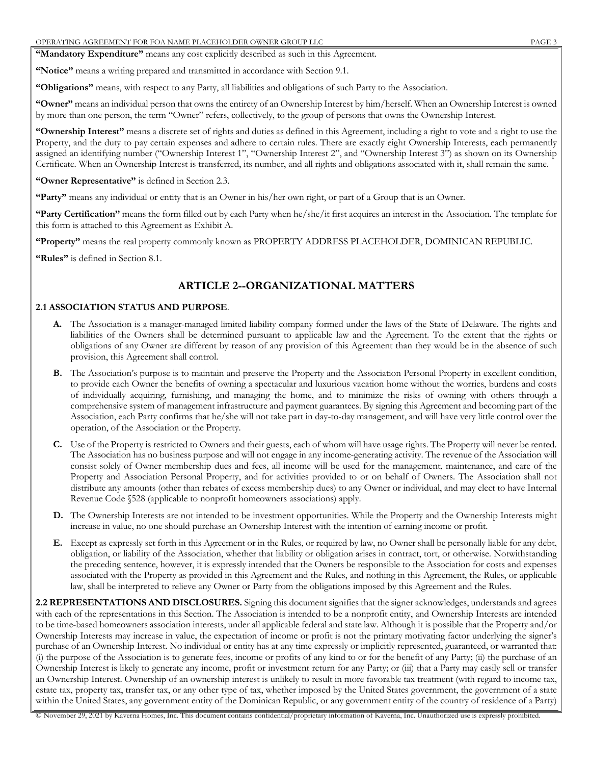**"Mandatory Expenditure"** means any cost explicitly described as such in this Agreement.

**"Notice"** means a writing prepared and transmitted in accordance with Section 9.1.

**"Obligations"** means, with respect to any Party, all liabilities and obligations of such Party to the Association.

**"Owner"** means an individual person that owns the entirety of an Ownership Interest by him/herself. When an Ownership Interest is owned by more than one person, the term "Owner" refers, collectively, to the group of persons that owns the Ownership Interest.

**"Ownership Interest"** means a discrete set of rights and duties as defined in this Agreement, including a right to vote and a right to use the Property, and the duty to pay certain expenses and adhere to certain rules. There are exactly eight Ownership Interests, each permanently assigned an identifying number ("Ownership Interest 1", "Ownership Interest 2", and "Ownership Interest 3") as shown on its Ownership Certificate. When an Ownership Interest is transferred, its number, and all rights and obligations associated with it, shall remain the same.

#### **"Owner Representative"** is defined in Section 2.3.

**"Party"** means any individual or entity that is an Owner in his/her own right, or part of a Group that is an Owner.

**"Party Certification"** means the form filled out by each Party when he/she/it first acquires an interest in the Association. The template for this form is attached to this Agreement as Exhibit A.

**"Property"** means the real property commonly known as PROPERTY ADDRESS PLACEHOLDER, DOMINICAN REPUBLIC.

**"Rules"** is defined in Section 8.1.

## **ARTICLE 2--ORGANIZATIONAL MATTERS**

#### **2.1 ASSOCIATION STATUS AND PURPOSE**.

- **A.** The Association is a manager-managed limited liability company formed under the laws of the State of Delaware. The rights and liabilities of the Owners shall be determined pursuant to applicable law and the Agreement. To the extent that the rights or obligations of any Owner are different by reason of any provision of this Agreement than they would be in the absence of such provision, this Agreement shall control.
- **B.** The Association's purpose is to maintain and preserve the Property and the Association Personal Property in excellent condition, to provide each Owner the benefits of owning a spectacular and luxurious vacation home without the worries, burdens and costs of individually acquiring, furnishing, and managing the home, and to minimize the risks of owning with others through a comprehensive system of management infrastructure and payment guarantees. By signing this Agreement and becoming part of the Association, each Party confirms that he/she will not take part in day-to-day management, and will have very little control over the operation, of the Association or the Property.
- **C.** Use of the Property is restricted to Owners and their guests, each of whom will have usage rights. The Property will never be rented. The Association has no business purpose and will not engage in any income-generating activity. The revenue of the Association will consist solely of Owner membership dues and fees, all income will be used for the management, maintenance, and care of the Property and Association Personal Property, and for activities provided to or on behalf of Owners. The Association shall not distribute any amounts (other than rebates of excess membership dues) to any Owner or individual, and may elect to have Internal Revenue Code §528 (applicable to nonprofit homeowners associations) apply.
- **D.** The Ownership Interests are not intended to be investment opportunities. While the Property and the Ownership Interests might increase in value, no one should purchase an Ownership Interest with the intention of earning income or profit.
- **E.** Except as expressly set forth in this Agreement or in the Rules, or required by law, no Owner shall be personally liable for any debt, obligation, or liability of the Association, whether that liability or obligation arises in contract, tort, or otherwise. Notwithstanding the preceding sentence, however, it is expressly intended that the Owners be responsible to the Association for costs and expenses associated with the Property as provided in this Agreement and the Rules, and nothing in this Agreement, the Rules, or applicable law, shall be interpreted to relieve any Owner or Party from the obligations imposed by this Agreement and the Rules.

**2.2 REPRESENTATIONS AND DISCLOSURES.** Signing this document signifies that the signer acknowledges, understands and agrees with each of the representations in this Section. The Association is intended to be a nonprofit entity, and Ownership Interests are intended to be time-based homeowners association interests, under all applicable federal and state law. Although it is possible that the Property and/or Ownership Interests may increase in value, the expectation of income or profit is not the primary motivating factor underlying the signer's purchase of an Ownership Interest. No individual or entity has at any time expressly or implicitly represented, guaranteed, or warranted that: (i) the purpose of the Association is to generate fees, income or profits of any kind to or for the benefit of any Party; (ii) the purchase of an Ownership Interest is likely to generate any income, profit or investment return for any Party; or (iii) that a Party may easily sell or transfer an Ownership Interest. Ownership of an ownership interest is unlikely to result in more favorable tax treatment (with regard to income tax, estate tax, property tax, transfer tax, or any other type of tax, whether imposed by the United States government, the government of a state within the United States, any government entity of the Dominican Republic, or any government entity of the country of residence of a Party)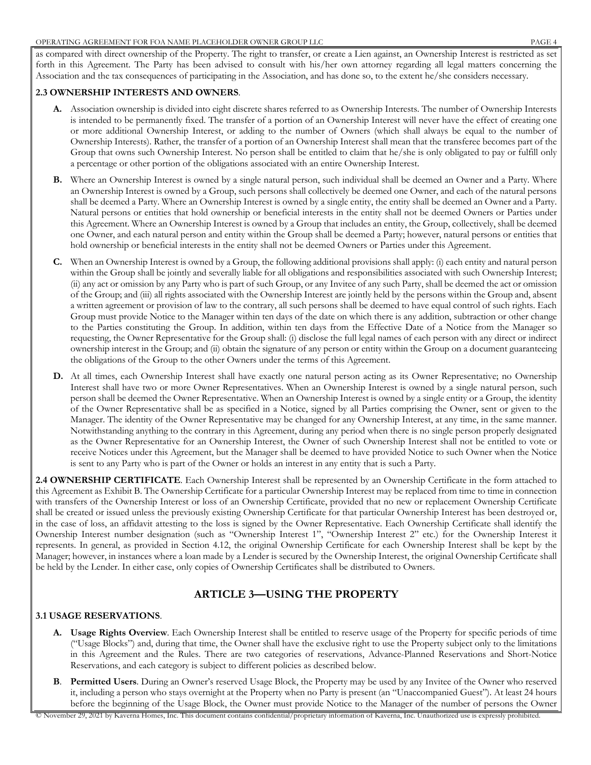as compared with direct ownership of the Property. The right to transfer, or create a Lien against, an Ownership Interest is restricted as set forth in this Agreement. The Party has been advised to consult with his/her own attorney regarding all legal matters concerning the Association and the tax consequences of participating in the Association, and has done so, to the extent he/she considers necessary.

#### **2.3 OWNERSHIP INTERESTS AND OWNERS**.

- **A.** Association ownership is divided into eight discrete shares referred to as Ownership Interests. The number of Ownership Interests is intended to be permanently fixed. The transfer of a portion of an Ownership Interest will never have the effect of creating one or more additional Ownership Interest, or adding to the number of Owners (which shall always be equal to the number of Ownership Interests). Rather, the transfer of a portion of an Ownership Interest shall mean that the transferee becomes part of the Group that owns such Ownership Interest. No person shall be entitled to claim that he/she is only obligated to pay or fulfill only a percentage or other portion of the obligations associated with an entire Ownership Interest.
- **B.** Where an Ownership Interest is owned by a single natural person, such individual shall be deemed an Owner and a Party. Where an Ownership Interest is owned by a Group, such persons shall collectively be deemed one Owner, and each of the natural persons shall be deemed a Party. Where an Ownership Interest is owned by a single entity, the entity shall be deemed an Owner and a Party. Natural persons or entities that hold ownership or beneficial interests in the entity shall not be deemed Owners or Parties under this Agreement. Where an Ownership Interest is owned by a Group that includes an entity, the Group, collectively, shall be deemed one Owner, and each natural person and entity within the Group shall be deemed a Party; however, natural persons or entities that hold ownership or beneficial interests in the entity shall not be deemed Owners or Parties under this Agreement.
- **C.** When an Ownership Interest is owned by a Group, the following additional provisions shall apply: (i) each entity and natural person within the Group shall be jointly and severally liable for all obligations and responsibilities associated with such Ownership Interest; (ii) any act or omission by any Party who is part of such Group, or any Invitee of any such Party, shall be deemed the act or omission of the Group; and (iii) all rights associated with the Ownership Interest are jointly held by the persons within the Group and, absent a written agreement or provision of law to the contrary, all such persons shall be deemed to have equal control of such rights. Each Group must provide Notice to the Manager within ten days of the date on which there is any addition, subtraction or other change to the Parties constituting the Group. In addition, within ten days from the Effective Date of a Notice from the Manager so requesting, the Owner Representative for the Group shall: (i) disclose the full legal names of each person with any direct or indirect ownership interest in the Group; and (ii) obtain the signature of any person or entity within the Group on a document guaranteeing the obligations of the Group to the other Owners under the terms of this Agreement.
- **D.** At all times, each Ownership Interest shall have exactly one natural person acting as its Owner Representative; no Ownership Interest shall have two or more Owner Representatives. When an Ownership Interest is owned by a single natural person, such person shall be deemed the Owner Representative. When an Ownership Interest is owned by a single entity or a Group, the identity of the Owner Representative shall be as specified in a Notice, signed by all Parties comprising the Owner, sent or given to the Manager. The identity of the Owner Representative may be changed for any Ownership Interest, at any time, in the same manner. Notwithstanding anything to the contrary in this Agreement, during any period when there is no single person properly designated as the Owner Representative for an Ownership Interest, the Owner of such Ownership Interest shall not be entitled to vote or receive Notices under this Agreement, but the Manager shall be deemed to have provided Notice to such Owner when the Notice is sent to any Party who is part of the Owner or holds an interest in any entity that is such a Party.

**2.4 OWNERSHIP CERTIFICATE**. Each Ownership Interest shall be represented by an Ownership Certificate in the form attached to this Agreement as Exhibit B. The Ownership Certificate for a particular Ownership Interest may be replaced from time to time in connection with transfers of the Ownership Interest or loss of an Ownership Certificate, provided that no new or replacement Ownership Certificate shall be created or issued unless the previously existing Ownership Certificate for that particular Ownership Interest has been destroyed or, in the case of loss, an affidavit attesting to the loss is signed by the Owner Representative. Each Ownership Certificate shall identify the Ownership Interest number designation (such as "Ownership Interest 1", "Ownership Interest 2" etc.) for the Ownership Interest it represents. In general, as provided in Section 4.12, the original Ownership Certificate for each Ownership Interest shall be kept by the Manager; however, in instances where a loan made by a Lender is secured by the Ownership Interest, the original Ownership Certificate shall be held by the Lender. In either case, only copies of Ownership Certificates shall be distributed to Owners.

### **ARTICLE 3—USING THE PROPERTY**

#### **3.1 USAGE RESERVATIONS**.

- **A. Usage Rights Overview**. Each Ownership Interest shall be entitled to reserve usage of the Property for specific periods of time ("Usage Blocks") and, during that time, the Owner shall have the exclusive right to use the Property subject only to the limitations in this Agreement and the Rules. There are two categories of reservations, Advance-Planned Reservations and Short-Notice Reservations, and each category is subject to different policies as described below.
- **B**. **Permitted Users**. During an Owner's reserved Usage Block, the Property may be used by any Invitee of the Owner who reserved it, including a person who stays overnight at the Property when no Party is present (an "Unaccompanied Guest"). At least 24 hours before the beginning of the Usage Block, the Owner must provide Notice to the Manager of the number of persons the Owner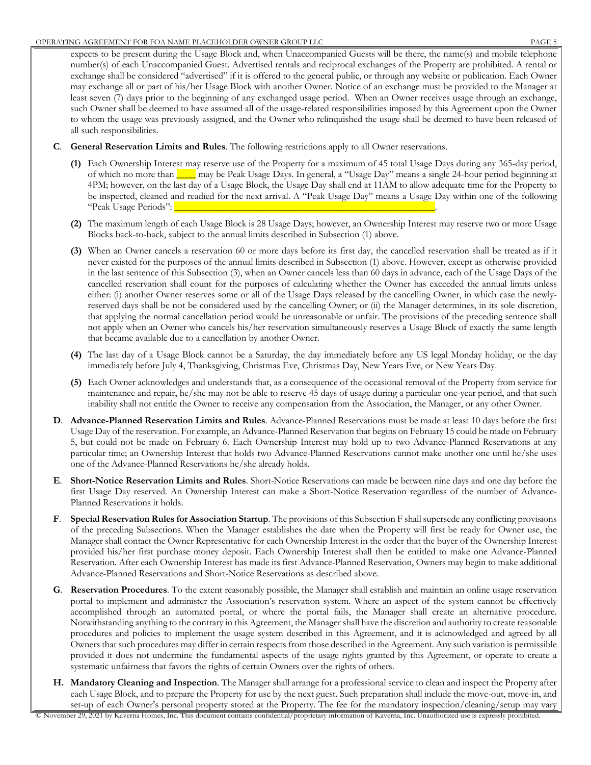expects to be present during the Usage Block and, when Unaccompanied Guests will be there, the name(s) and mobile telephone number(s) of each Unaccompanied Guest. Advertised rentals and reciprocal exchanges of the Property are prohibited. A rental or exchange shall be considered "advertised" if it is offered to the general public, or through any website or publication. Each Owner may exchange all or part of his/her Usage Block with another Owner. Notice of an exchange must be provided to the Manager at least seven (7) days prior to the beginning of any exchanged usage period. When an Owner receives usage through an exchange, such Owner shall be deemed to have assumed all of the usage-related responsibilities imposed by this Agreement upon the Owner to whom the usage was previously assigned, and the Owner who relinquished the usage shall be deemed to have been released of all such responsibilities.

- **C**. **General Reservation Limits and Rules**. The following restrictions apply to all Owner reservations.
	- **(1)** Each Ownership Interest may reserve use of the Property for a maximum of 45 total Usage Days during any 365-day period, of which no more than  $\_\_\_\$  may be Peak Usage Days. In general, a "Usage Day" means a single 24-hour period beginning at 4PM; however, on the last day of a Usage Block, the Usage Day shall end at 11AM to allow adequate time for the Property to be inspected, cleaned and readied for the next arrival. A "Peak Usage Day" means a Usage Day within one of the following "Peak Usage Periods":
	- **(2)** The maximum length of each Usage Block is 28 Usage Days; however, an Ownership Interest may reserve two or more Usage Blocks back-to-back, subject to the annual limits described in Subsection (1) above.
	- **(3)** When an Owner cancels a reservation 60 or more days before its first day, the cancelled reservation shall be treated as if it never existed for the purposes of the annual limits described in Subsection (1) above. However, except as otherwise provided in the last sentence of this Subsection (3), when an Owner cancels less than 60 days in advance, each of the Usage Days of the cancelled reservation shall count for the purposes of calculating whether the Owner has exceeded the annual limits unless either: (i) another Owner reserves some or all of the Usage Days released by the cancelling Owner, in which case the newlyreserved days shall be not be considered used by the cancelling Owner; or (ii) the Manager determines, in its sole discretion, that applying the normal cancellation period would be unreasonable or unfair. The provisions of the preceding sentence shall not apply when an Owner who cancels his/her reservation simultaneously reserves a Usage Block of exactly the same length that became available due to a cancellation by another Owner.
	- **(4)** The last day of a Usage Block cannot be a Saturday, the day immediately before any US legal Monday holiday, or the day immediately before July 4, Thanksgiving, Christmas Eve, Christmas Day, New Years Eve, or New Years Day.
	- **(5)** Each Owner acknowledges and understands that, as a consequence of the occasional removal of the Property from service for maintenance and repair, he/she may not be able to reserve 45 days of usage during a particular one-year period, and that such inability shall not entitle the Owner to receive any compensation from the Association, the Manager, or any other Owner.
- **D**. **Advance-Planned Reservation Limits and Rules**. Advance-Planned Reservations must be made at least 10 days before the first Usage Day of the reservation. For example, an Advance-Planned Reservation that begins on February 15 could be made on February 5, but could not be made on February 6. Each Ownership Interest may hold up to two Advance-Planned Reservations at any particular time; an Ownership Interest that holds two Advance-Planned Reservations cannot make another one until he/she uses one of the Advance-Planned Reservations he/she already holds.
- **E**. **Short-Notice Reservation Limits and Rules**. Short-Notice Reservations can made be between nine days and one day before the first Usage Day reserved. An Ownership Interest can make a Short-Notice Reservation regardless of the number of Advance-Planned Reservations it holds.
- **F**. **Special Reservation Rules for Association Startup**. The provisions of this Subsection F shall supersede any conflicting provisions of the preceding Subsections. When the Manager establishes the date when the Property will first be ready for Owner use, the Manager shall contact the Owner Representative for each Ownership Interest in the order that the buyer of the Ownership Interest provided his/her first purchase money deposit. Each Ownership Interest shall then be entitled to make one Advance-Planned Reservation. After each Ownership Interest has made its first Advance-Planned Reservation, Owners may begin to make additional Advance-Planned Reservations and Short-Notice Reservations as described above.
- **G**. **Reservation Procedures**. To the extent reasonably possible, the Manager shall establish and maintain an online usage reservation portal to implement and administer the Association's reservation system. Where an aspect of the system cannot be effectively accomplished through an automated portal, or where the portal fails, the Manager shall create an alternative procedure. Notwithstanding anything to the contrary in this Agreement, the Manager shall have the discretion and authority to create reasonable procedures and policies to implement the usage system described in this Agreement, and it is acknowledged and agreed by all Owners that such procedures may differ in certain respects from those described in the Agreement. Any such variation is permissible provided it does not undermine the fundamental aspects of the usage rights granted by this Agreement, or operate to create a systematic unfairness that favors the rights of certain Owners over the rights of others.
- **H. Mandatory Cleaning and Inspection**. The Manager shall arrange for a professional service to clean and inspect the Property after each Usage Block, and to prepare the Property for use by the next guest. Such preparation shall include the move-out, move-in, and set-up of each Owner's personal property stored at the Property. The fee for the mandatory inspection/cleaning/setup may vary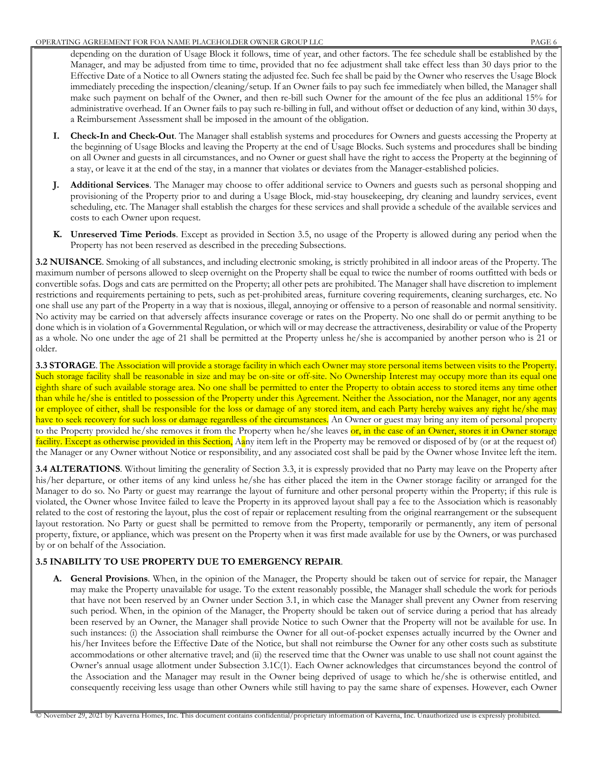depending on the duration of Usage Block it follows, time of year, and other factors. The fee schedule shall be established by the Manager, and may be adjusted from time to time, provided that no fee adjustment shall take effect less than 30 days prior to the Effective Date of a Notice to all Owners stating the adjusted fee. Such fee shall be paid by the Owner who reserves the Usage Block immediately preceding the inspection/cleaning/setup. If an Owner fails to pay such fee immediately when billed, the Manager shall make such payment on behalf of the Owner, and then re-bill such Owner for the amount of the fee plus an additional 15% for administrative overhead. If an Owner fails to pay such re-billing in full, and without offset or deduction of any kind, within 30 days, a Reimbursement Assessment shall be imposed in the amount of the obligation.

- **I. Check-In and Check-Out**. The Manager shall establish systems and procedures for Owners and guests accessing the Property at the beginning of Usage Blocks and leaving the Property at the end of Usage Blocks. Such systems and procedures shall be binding on all Owner and guests in all circumstances, and no Owner or guest shall have the right to access the Property at the beginning of a stay, or leave it at the end of the stay, in a manner that violates or deviates from the Manager-established policies.
- **J. Additional Services**. The Manager may choose to offer additional service to Owners and guests such as personal shopping and provisioning of the Property prior to and during a Usage Block, mid-stay housekeeping, dry cleaning and laundry services, event scheduling, etc. The Manager shall establish the charges for these services and shall provide a schedule of the available services and costs to each Owner upon request.
- **K. Unreserved Time Periods**. Except as provided in Section 3.5, no usage of the Property is allowed during any period when the Property has not been reserved as described in the preceding Subsections.

**3.2 NUISANCE**. Smoking of all substances, and including electronic smoking, is strictly prohibited in all indoor areas of the Property. The maximum number of persons allowed to sleep overnight on the Property shall be equal to twice the number of rooms outfitted with beds or convertible sofas. Dogs and cats are permitted on the Property; all other pets are prohibited. The Manager shall have discretion to implement restrictions and requirements pertaining to pets, such as pet-prohibited areas, furniture covering requirements, cleaning surcharges, etc. No one shall use any part of the Property in a way that is noxious, illegal, annoying or offensive to a person of reasonable and normal sensitivity. No activity may be carried on that adversely affects insurance coverage or rates on the Property. No one shall do or permit anything to be done which is in violation of a Governmental Regulation, or which will or may decrease the attractiveness, desirability or value of the Property as a whole. No one under the age of 21 shall be permitted at the Property unless he/she is accompanied by another person who is 21 or older.

**3.3 STORAGE**. The Association will provide a storage facility in which each Owner may store personal items between visits to the Property. Such storage facility shall be reasonable in size and may be on-site or off-site. No Ownership Interest may occupy more than its equal one eighth share of such available storage area. No one shall be permitted to enter the Property to obtain access to stored items any time other than while he/she is entitled to possession of the Property under this Agreement. Neither the Association, nor the Manager, nor any agents or employee of either, shall be responsible for the loss or damage of any stored item, and each Party hereby waives any right he/she may have to seek recovery for such loss or damage regardless of the circumstances. An Owner or guest may bring any item of personal property to the Property provided he/she removes it from the Property when he/she leaves or, in the case of an Owner, stores it in Owner storage facility. Except as otherwise provided in this Section, Aany item left in the Property may be removed or disposed of by (or at the request of) the Manager or any Owner without Notice or responsibility, and any associated cost shall be paid by the Owner whose Invitee left the item.

**3.4 ALTERATIONS**. Without limiting the generality of Section 3.3, it is expressly provided that no Party may leave on the Property after his/her departure, or other items of any kind unless he/she has either placed the item in the Owner storage facility or arranged for the Manager to do so. No Party or guest may rearrange the layout of furniture and other personal property within the Property; if this rule is violated, the Owner whose Invitee failed to leave the Property in its approved layout shall pay a fee to the Association which is reasonably related to the cost of restoring the layout, plus the cost of repair or replacement resulting from the original rearrangement or the subsequent layout restoration. No Party or guest shall be permitted to remove from the Property, temporarily or permanently, any item of personal property, fixture, or appliance, which was present on the Property when it was first made available for use by the Owners, or was purchased by or on behalf of the Association.

### **3.5 INABILITY TO USE PROPERTY DUE TO EMERGENCY REPAIR**.

**A. General Provisions**. When, in the opinion of the Manager, the Property should be taken out of service for repair, the Manager may make the Property unavailable for usage. To the extent reasonably possible, the Manager shall schedule the work for periods that have not been reserved by an Owner under Section 3.1, in which case the Manager shall prevent any Owner from reserving such period. When, in the opinion of the Manager, the Property should be taken out of service during a period that has already been reserved by an Owner, the Manager shall provide Notice to such Owner that the Property will not be available for use. In such instances: (i) the Association shall reimburse the Owner for all out-of-pocket expenses actually incurred by the Owner and his/her Invitees before the Effective Date of the Notice, but shall not reimburse the Owner for any other costs such as substitute accommodations or other alternative travel; and (ii) the reserved time that the Owner was unable to use shall not count against the Owner's annual usage allotment under Subsection 3.1C(1). Each Owner acknowledges that circumstances beyond the control of the Association and the Manager may result in the Owner being deprived of usage to which he/she is otherwise entitled, and consequently receiving less usage than other Owners while still having to pay the same share of expenses. However, each Owner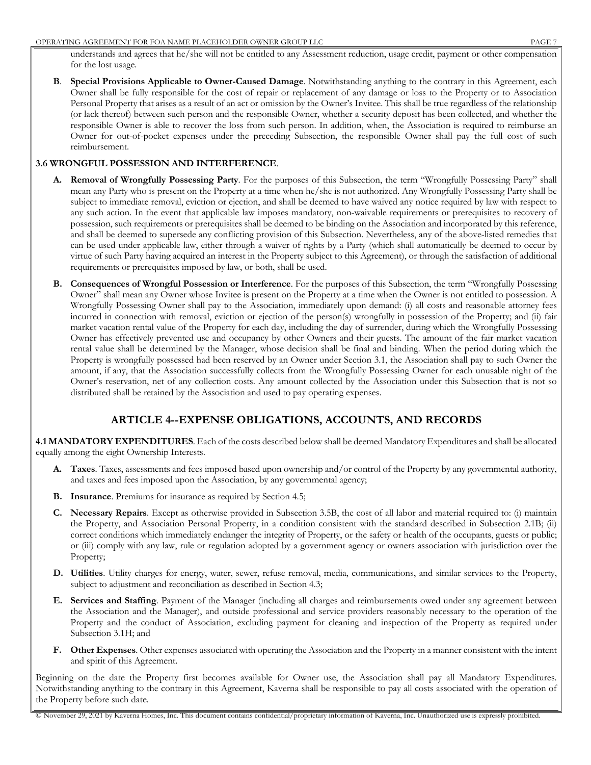understands and agrees that he/she will not be entitled to any Assessment reduction, usage credit, payment or other compensation for the lost usage.

**B**. **Special Provisions Applicable to Owner-Caused Damage**. Notwithstanding anything to the contrary in this Agreement, each Owner shall be fully responsible for the cost of repair or replacement of any damage or loss to the Property or to Association Personal Property that arises as a result of an act or omission by the Owner's Invitee. This shall be true regardless of the relationship (or lack thereof) between such person and the responsible Owner, whether a security deposit has been collected, and whether the responsible Owner is able to recover the loss from such person. In addition, when, the Association is required to reimburse an Owner for out-of-pocket expenses under the preceding Subsection, the responsible Owner shall pay the full cost of such reimbursement.

### **3.6 WRONGFUL POSSESSION AND INTERFERENCE**.

- **A. Removal of Wrongfully Possessing Party**. For the purposes of this Subsection, the term "Wrongfully Possessing Party" shall mean any Party who is present on the Property at a time when he/she is not authorized. Any Wrongfully Possessing Party shall be subject to immediate removal, eviction or ejection, and shall be deemed to have waived any notice required by law with respect to any such action. In the event that applicable law imposes mandatory, non-waivable requirements or prerequisites to recovery of possession, such requirements or prerequisites shall be deemed to be binding on the Association and incorporated by this reference, and shall be deemed to supersede any conflicting provision of this Subsection. Nevertheless, any of the above-listed remedies that can be used under applicable law, either through a waiver of rights by a Party (which shall automatically be deemed to occur by virtue of such Party having acquired an interest in the Property subject to this Agreement), or through the satisfaction of additional requirements or prerequisites imposed by law, or both, shall be used.
- **B. Consequences of Wrongful Possession or Interference**. For the purposes of this Subsection, the term "Wrongfully Possessing Owner" shall mean any Owner whose Invitee is present on the Property at a time when the Owner is not entitled to possession. A Wrongfully Possessing Owner shall pay to the Association, immediately upon demand: (i) all costs and reasonable attorney fees incurred in connection with removal, eviction or ejection of the person(s) wrongfully in possession of the Property; and (ii) fair market vacation rental value of the Property for each day, including the day of surrender, during which the Wrongfully Possessing Owner has effectively prevented use and occupancy by other Owners and their guests. The amount of the fair market vacation rental value shall be determined by the Manager, whose decision shall be final and binding. When the period during which the Property is wrongfully possessed had been reserved by an Owner under Section 3.1, the Association shall pay to such Owner the amount, if any, that the Association successfully collects from the Wrongfully Possessing Owner for each unusable night of the Owner's reservation, net of any collection costs. Any amount collected by the Association under this Subsection that is not so distributed shall be retained by the Association and used to pay operating expenses.

# **ARTICLE 4--EXPENSE OBLIGATIONS, ACCOUNTS, AND RECORDS**

**4.1 MANDATORY EXPENDITURES**. Each of the costs described below shall be deemed Mandatory Expenditures and shall be allocated equally among the eight Ownership Interests.

- **A. Taxes**. Taxes, assessments and fees imposed based upon ownership and/or control of the Property by any governmental authority, and taxes and fees imposed upon the Association, by any governmental agency;
- **B. Insurance**. Premiums for insurance as required by Section 4.5;
- **C. Necessary Repairs**. Except as otherwise provided in Subsection 3.5B, the cost of all labor and material required to: (i) maintain the Property, and Association Personal Property, in a condition consistent with the standard described in Subsection 2.1B; (ii) correct conditions which immediately endanger the integrity of Property, or the safety or health of the occupants, guests or public; or (iii) comply with any law, rule or regulation adopted by a government agency or owners association with jurisdiction over the Property;
- **D. Utilities**. Utility charges for energy, water, sewer, refuse removal, media, communications, and similar services to the Property, subject to adjustment and reconciliation as described in Section 4.3;
- **E. Services and Staffing**. Payment of the Manager (including all charges and reimbursements owed under any agreement between the Association and the Manager), and outside professional and service providers reasonably necessary to the operation of the Property and the conduct of Association, excluding payment for cleaning and inspection of the Property as required under Subsection 3.1H; and
- **F. Other Expenses**. Other expenses associated with operating the Association and the Property in a manner consistent with the intent and spirit of this Agreement.

Beginning on the date the Property first becomes available for Owner use, the Association shall pay all Mandatory Expenditures. Notwithstanding anything to the contrary in this Agreement, Kaverna shall be responsible to pay all costs associated with the operation of the Property before such date.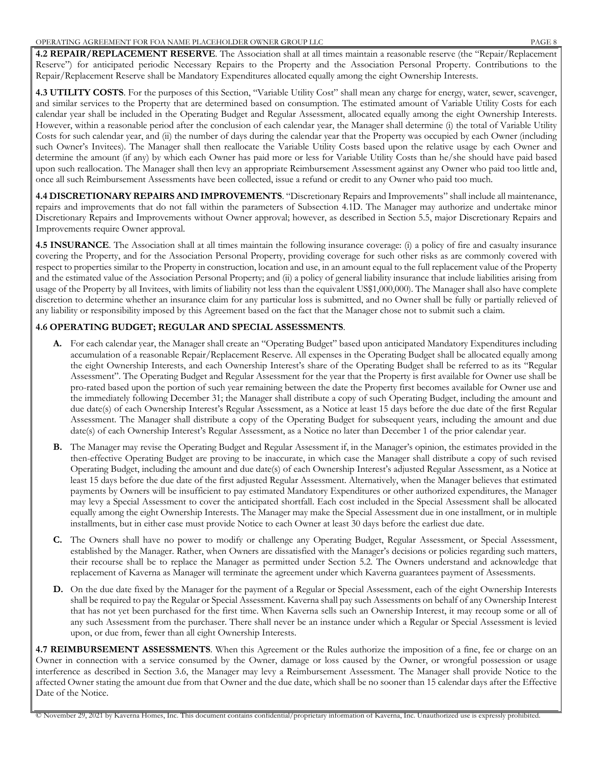**4.2 REPAIR/REPLACEMENT RESERVE**. The Association shall at all times maintain a reasonable reserve (the "Repair/Replacement Reserve") for anticipated periodic Necessary Repairs to the Property and the Association Personal Property. Contributions to the Repair/Replacement Reserve shall be Mandatory Expenditures allocated equally among the eight Ownership Interests.

**4.3 UTILITY COSTS**. For the purposes of this Section, "Variable Utility Cost" shall mean any charge for energy, water, sewer, scavenger, and similar services to the Property that are determined based on consumption. The estimated amount of Variable Utility Costs for each calendar year shall be included in the Operating Budget and Regular Assessment, allocated equally among the eight Ownership Interests. However, within a reasonable period after the conclusion of each calendar year, the Manager shall determine (i) the total of Variable Utility Costs for such calendar year, and (ii) the number of days during the calendar year that the Property was occupied by each Owner (including such Owner's Invitees). The Manager shall then reallocate the Variable Utility Costs based upon the relative usage by each Owner and determine the amount (if any) by which each Owner has paid more or less for Variable Utility Costs than he/she should have paid based upon such reallocation. The Manager shall then levy an appropriate Reimbursement Assessment against any Owner who paid too little and, once all such Reimbursement Assessments have been collected, issue a refund or credit to any Owner who paid too much.

**4.4 DISCRETIONARY REPAIRS AND IMPROVEMENTS**. "Discretionary Repairs and Improvements" shall include all maintenance, repairs and improvements that do not fall within the parameters of Subsection 4.1D. The Manager may authorize and undertake minor Discretionary Repairs and Improvements without Owner approval; however, as described in Section 5.5, major Discretionary Repairs and Improvements require Owner approval.

**4.5 INSURANCE**. The Association shall at all times maintain the following insurance coverage: (i) a policy of fire and casualty insurance covering the Property, and for the Association Personal Property, providing coverage for such other risks as are commonly covered with respect to properties similar to the Property in construction, location and use, in an amount equal to the full replacement value of the Property and the estimated value of the Association Personal Property; and (ii) a policy of general liability insurance that include liabilities arising from usage of the Property by all Invitees, with limits of liability not less than the equivalent US\$1,000,000). The Manager shall also have complete discretion to determine whether an insurance claim for any particular loss is submitted, and no Owner shall be fully or partially relieved of any liability or responsibility imposed by this Agreement based on the fact that the Manager chose not to submit such a claim.

### **4.6 OPERATING BUDGET; REGULAR AND SPECIAL ASSESSMENTS**.

- **A.** For each calendar year, the Manager shall create an "Operating Budget" based upon anticipated Mandatory Expenditures including accumulation of a reasonable Repair/Replacement Reserve. All expenses in the Operating Budget shall be allocated equally among the eight Ownership Interests, and each Ownership Interest's share of the Operating Budget shall be referred to as its "Regular Assessment". The Operating Budget and Regular Assessment for the year that the Property is first available for Owner use shall be pro-rated based upon the portion of such year remaining between the date the Property first becomes available for Owner use and the immediately following December 31; the Manager shall distribute a copy of such Operating Budget, including the amount and due date(s) of each Ownership Interest's Regular Assessment, as a Notice at least 15 days before the due date of the first Regular Assessment. The Manager shall distribute a copy of the Operating Budget for subsequent years, including the amount and due date(s) of each Ownership Interest's Regular Assessment, as a Notice no later than December 1 of the prior calendar year.
- **B.** The Manager may revise the Operating Budget and Regular Assessment if, in the Manager's opinion, the estimates provided in the then-effective Operating Budget are proving to be inaccurate, in which case the Manager shall distribute a copy of such revised Operating Budget, including the amount and due date(s) of each Ownership Interest's adjusted Regular Assessment, as a Notice at least 15 days before the due date of the first adjusted Regular Assessment. Alternatively, when the Manager believes that estimated payments by Owners will be insufficient to pay estimated Mandatory Expenditures or other authorized expenditures, the Manager may levy a Special Assessment to cover the anticipated shortfall. Each cost included in the Special Assessment shall be allocated equally among the eight Ownership Interests. The Manager may make the Special Assessment due in one installment, or in multiple installments, but in either case must provide Notice to each Owner at least 30 days before the earliest due date.
- **C.** The Owners shall have no power to modify or challenge any Operating Budget, Regular Assessment, or Special Assessment, established by the Manager. Rather, when Owners are dissatisfied with the Manager's decisions or policies regarding such matters, their recourse shall be to replace the Manager as permitted under Section 5.2. The Owners understand and acknowledge that replacement of Kaverna as Manager will terminate the agreement under which Kaverna guarantees payment of Assessments.
- **D.** On the due date fixed by the Manager for the payment of a Regular or Special Assessment, each of the eight Ownership Interests shall be required to pay the Regular or Special Assessment. Kaverna shall pay such Assessments on behalf of any Ownership Interest that has not yet been purchased for the first time. When Kaverna sells such an Ownership Interest, it may recoup some or all of any such Assessment from the purchaser. There shall never be an instance under which a Regular or Special Assessment is levied upon, or due from, fewer than all eight Ownership Interests.

**4.7 REIMBURSEMENT ASSESSMENTS**. When this Agreement or the Rules authorize the imposition of a fine, fee or charge on an Owner in connection with a service consumed by the Owner, damage or loss caused by the Owner, or wrongful possession or usage interference as described in Section 3.6, the Manager may levy a Reimbursement Assessment. The Manager shall provide Notice to the affected Owner stating the amount due from that Owner and the due date, which shall be no sooner than 15 calendar days after the Effective Date of the Notice.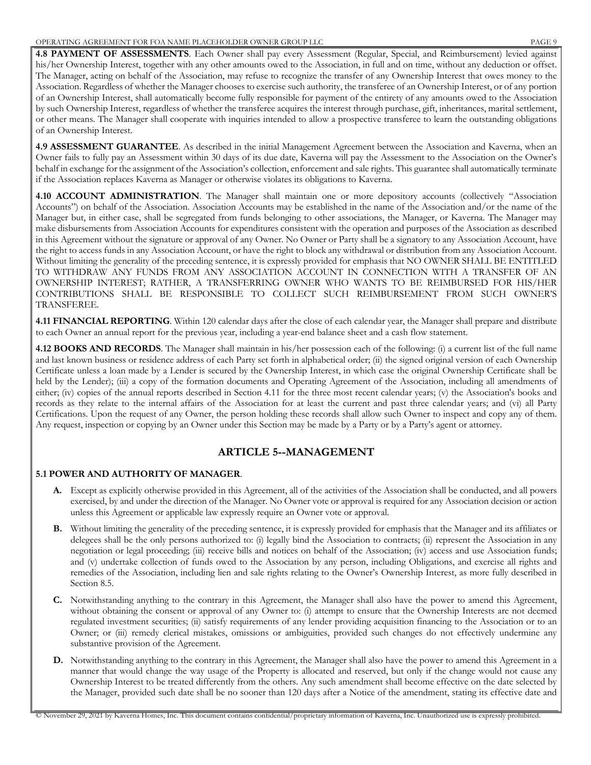**4.8 PAYMENT OF ASSESSMENTS**. Each Owner shall pay every Assessment (Regular, Special, and Reimbursement) levied against his/her Ownership Interest, together with any other amounts owed to the Association, in full and on time, without any deduction or offset. The Manager, acting on behalf of the Association, may refuse to recognize the transfer of any Ownership Interest that owes money to the Association. Regardless of whether the Manager chooses to exercise such authority, the transferee of an Ownership Interest, or of any portion of an Ownership Interest, shall automatically become fully responsible for payment of the entirety of any amounts owed to the Association by such Ownership Interest, regardless of whether the transferee acquires the interest through purchase, gift, inheritances, marital settlement, or other means. The Manager shall cooperate with inquiries intended to allow a prospective transferee to learn the outstanding obligations of an Ownership Interest.

**4.9 ASSESSMENT GUARANTEE**. As described in the initial Management Agreement between the Association and Kaverna, when an Owner fails to fully pay an Assessment within 30 days of its due date, Kaverna will pay the Assessment to the Association on the Owner's behalf in exchange for the assignment of the Association's collection, enforcement and sale rights. This guarantee shall automatically terminate if the Association replaces Kaverna as Manager or otherwise violates its obligations to Kaverna.

**4.10 ACCOUNT ADMINISTRATION**. The Manager shall maintain one or more depository accounts (collectively "Association Accounts") on behalf of the Association. Association Accounts may be established in the name of the Association and/or the name of the Manager but, in either case, shall be segregated from funds belonging to other associations, the Manager, or Kaverna. The Manager may make disbursements from Association Accounts for expenditures consistent with the operation and purposes of the Association as described in this Agreement without the signature or approval of any Owner. No Owner or Party shall be a signatory to any Association Account, have the right to access funds in any Association Account, or have the right to block any withdrawal or distribution from any Association Account. Without limiting the generality of the preceding sentence, it is expressly provided for emphasis that NO OWNER SHALL BE ENTITLED TO WITHDRAW ANY FUNDS FROM ANY ASSOCIATION ACCOUNT IN CONNECTION WITH A TRANSFER OF AN OWNERSHIP INTEREST; RATHER, A TRANSFERRING OWNER WHO WANTS TO BE REIMBURSED FOR HIS/HER CONTRIBUTIONS SHALL BE RESPONSIBLE TO COLLECT SUCH REIMBURSEMENT FROM SUCH OWNER'S TRANSFEREE.

**4.11 FINANCIAL REPORTING**. Within 120 calendar days after the close of each calendar year, the Manager shall prepare and distribute to each Owner an annual report for the previous year, including a year-end balance sheet and a cash flow statement.

**4.12 BOOKS AND RECORDS**. The Manager shall maintain in his/her possession each of the following: (i) a current list of the full name and last known business or residence address of each Party set forth in alphabetical order; (ii) the signed original version of each Ownership Certificate unless a loan made by a Lender is secured by the Ownership Interest, in which case the original Ownership Certificate shall be held by the Lender); (iii) a copy of the formation documents and Operating Agreement of the Association, including all amendments of either; (iv) copies of the annual reports described in Section 4.11 for the three most recent calendar years; (v) the Association's books and records as they relate to the internal affairs of the Association for at least the current and past three calendar years; and (vi) all Party Certifications. Upon the request of any Owner, the person holding these records shall allow such Owner to inspect and copy any of them. Any request, inspection or copying by an Owner under this Section may be made by a Party or by a Party's agent or attorney.

# **ARTICLE 5--MANAGEMENT**

### **5.1 POWER AND AUTHORITY OF MANAGER**.

- **A.** Except as explicitly otherwise provided in this Agreement, all of the activities of the Association shall be conducted, and all powers exercised, by and under the direction of the Manager. No Owner vote or approval is required for any Association decision or action unless this Agreement or applicable law expressly require an Owner vote or approval.
- **B.** Without limiting the generality of the preceding sentence, it is expressly provided for emphasis that the Manager and its affiliates or delegees shall be the only persons authorized to: (i) legally bind the Association to contracts; (ii) represent the Association in any negotiation or legal proceeding; (iii) receive bills and notices on behalf of the Association; (iv) access and use Association funds; and (v) undertake collection of funds owed to the Association by any person, including Obligations, and exercise all rights and remedies of the Association, including lien and sale rights relating to the Owner's Ownership Interest, as more fully described in Section 8.5.
- **C.** Notwithstanding anything to the contrary in this Agreement, the Manager shall also have the power to amend this Agreement, without obtaining the consent or approval of any Owner to: (i) attempt to ensure that the Ownership Interests are not deemed regulated investment securities; (ii) satisfy requirements of any lender providing acquisition financing to the Association or to an Owner; or (iii) remedy clerical mistakes, omissions or ambiguities, provided such changes do not effectively undermine any substantive provision of the Agreement.
- **D.** Notwithstanding anything to the contrary in this Agreement, the Manager shall also have the power to amend this Agreement in a manner that would change the way usage of the Property is allocated and reserved, but only if the change would not cause any Ownership Interest to be treated differently from the others. Any such amendment shall become effective on the date selected by the Manager, provided such date shall be no sooner than 120 days after a Notice of the amendment, stating its effective date and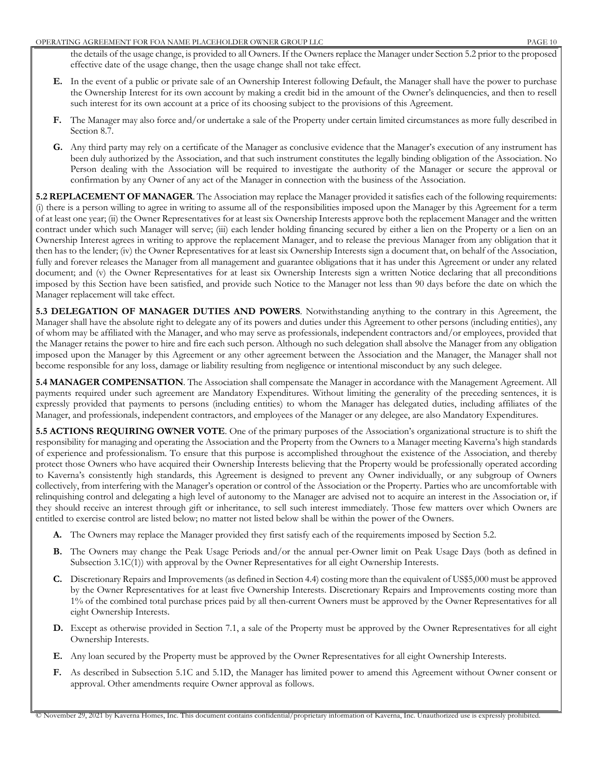the details of the usage change, is provided to all Owners. If the Owners replace the Manager under Section 5.2 prior to the proposed effective date of the usage change, then the usage change shall not take effect.

- **E.** In the event of a public or private sale of an Ownership Interest following Default, the Manager shall have the power to purchase the Ownership Interest for its own account by making a credit bid in the amount of the Owner's delinquencies, and then to resell such interest for its own account at a price of its choosing subject to the provisions of this Agreement.
- **F.** The Manager may also force and/or undertake a sale of the Property under certain limited circumstances as more fully described in Section 8.7.
- **G.** Any third party may rely on a certificate of the Manager as conclusive evidence that the Manager's execution of any instrument has been duly authorized by the Association, and that such instrument constitutes the legally binding obligation of the Association. No Person dealing with the Association will be required to investigate the authority of the Manager or secure the approval or confirmation by any Owner of any act of the Manager in connection with the business of the Association.

**5.2 REPLACEMENT OF MANAGER**. The Association may replace the Manager provided it satisfies each of the following requirements: (i) there is a person willing to agree in writing to assume all of the responsibilities imposed upon the Manager by this Agreement for a term of at least one year; (ii) the Owner Representatives for at least six Ownership Interests approve both the replacement Manager and the written contract under which such Manager will serve; (iii) each lender holding financing secured by either a lien on the Property or a lien on an Ownership Interest agrees in writing to approve the replacement Manager, and to release the previous Manager from any obligation that it then has to the lender; (iv) the Owner Representatives for at least six Ownership Interests sign a document that, on behalf of the Association, fully and forever releases the Manager from all management and guarantee obligations that it has under this Agreement or under any related document; and (v) the Owner Representatives for at least six Ownership Interests sign a written Notice declaring that all preconditions imposed by this Section have been satisfied, and provide such Notice to the Manager not less than 90 days before the date on which the Manager replacement will take effect.

**5.3 DELEGATION OF MANAGER DUTIES AND POWERS**. Notwithstanding anything to the contrary in this Agreement, the Manager shall have the absolute right to delegate any of its powers and duties under this Agreement to other persons (including entities), any of whom may be affiliated with the Manager, and who may serve as professionals, independent contractors and/or employees, provided that the Manager retains the power to hire and fire each such person. Although no such delegation shall absolve the Manager from any obligation imposed upon the Manager by this Agreement or any other agreement between the Association and the Manager, the Manager shall not become responsible for any loss, damage or liability resulting from negligence or intentional misconduct by any such delegee.

**5.4 MANAGER COMPENSATION**. The Association shall compensate the Manager in accordance with the Management Agreement. All payments required under such agreement are Mandatory Expenditures. Without limiting the generality of the preceding sentences, it is expressly provided that payments to persons (including entities) to whom the Manager has delegated duties, including affiliates of the Manager, and professionals, independent contractors, and employees of the Manager or any delegee, are also Mandatory Expenditures.

**5.5 ACTIONS REQUIRING OWNER VOTE**. One of the primary purposes of the Association's organizational structure is to shift the responsibility for managing and operating the Association and the Property from the Owners to a Manager meeting Kaverna's high standards of experience and professionalism. To ensure that this purpose is accomplished throughout the existence of the Association, and thereby protect those Owners who have acquired their Ownership Interests believing that the Property would be professionally operated according to Kaverna's consistently high standards, this Agreement is designed to prevent any Owner individually, or any subgroup of Owners collectively, from interfering with the Manager's operation or control of the Association or the Property. Parties who are uncomfortable with relinquishing control and delegating a high level of autonomy to the Manager are advised not to acquire an interest in the Association or, if they should receive an interest through gift or inheritance, to sell such interest immediately. Those few matters over which Owners are entitled to exercise control are listed below; no matter not listed below shall be within the power of the Owners.

- **A.** The Owners may replace the Manager provided they first satisfy each of the requirements imposed by Section 5.2.
- **B.** The Owners may change the Peak Usage Periods and/or the annual per-Owner limit on Peak Usage Days (both as defined in Subsection 3.1C(1)) with approval by the Owner Representatives for all eight Ownership Interests.
- **C.** Discretionary Repairs and Improvements (as defined in Section 4.4) costing more than the equivalent of US\$5,000 must be approved by the Owner Representatives for at least five Ownership Interests. Discretionary Repairs and Improvements costing more than 1% of the combined total purchase prices paid by all then-current Owners must be approved by the Owner Representatives for all eight Ownership Interests.
- **D.** Except as otherwise provided in Section 7.1, a sale of the Property must be approved by the Owner Representatives for all eight Ownership Interests.
- **E.** Any loan secured by the Property must be approved by the Owner Representatives for all eight Ownership Interests.
- **F.** As described in Subsection 5.1C and 5.1D, the Manager has limited power to amend this Agreement without Owner consent or approval. Other amendments require Owner approval as follows.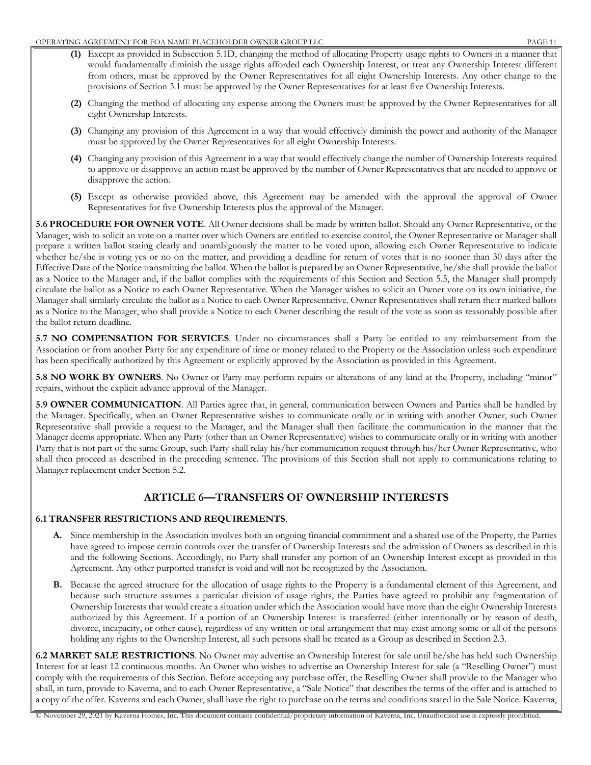- **(1)** Except as provided in Subsection 5.1D, changing the method of allocating Property usage rights to Owners in a manner that would fundamentally diminish the usage rights afforded each Ownership Interest, or treat any Ownership Interest different from others, must be approved by the Owner Representatives for all eight Ownership Interests. Any other change to the provisions of Section 3.1 must be approved by the Owner Representatives for at least five Ownership Interests.
- **(2)** Changing the method of allocating any expense among the Owners must be approved by the Owner Representatives for all eight Ownership Interests.
- **(3)** Changing any provision of this Agreement in a way that would effectively diminish the power and authority of the Manager must be approved by the Owner Representatives for all eight Ownership Interests.
- **(4)** Changing any provision of this Agreement in a way that would effectively change the number of Ownership Interests required to approve or disapprove an action must be approved by the number of Owner Representatives that are needed to approve or disapprove the action.
- **(5)** Except as otherwise provided above, this Agreement may be amended with the approval the approval of Owner Representatives for five Ownership Interests plus the approval of the Manager.

**5.6 PROCEDURE FOR OWNER VOTE**. All Owner decisions shall be made by written ballot. Should any Owner Representative, or the Manager, wish to solicit an vote on a matter over which Owners are entitled to exercise control, the Owner Representative or Manager shall prepare a written ballot stating clearly and unambiguously the matter to be voted upon, allowing each Owner Representative to indicate whether he/she is voting yes or no on the matter, and providing a deadline for return of votes that is no sooner than 30 days after the Effective Date of the Notice transmitting the ballot. When the ballot is prepared by an Owner Representative, he/she shall provide the ballot as a Notice to the Manager and, if the ballot complies with the requirements of this Section and Section 5.5, the Manager shall promptly circulate the ballot as a Notice to each Owner Representative. When the Manager wishes to solicit an Owner vote on its own initiative, the Manager shall similarly circulate the ballot as a Notice to each Owner Representative. Owner Representatives shall return their marked ballots as a Notice to the Manager, who shall provide a Notice to each Owner describing the result of the vote as soon as reasonably possible after the ballot return deadline.

**5.7 NO COMPENSATION FOR SERVICES**. Under no circumstances shall a Party be entitled to any reimbursement from the Association or from another Party for any expenditure of time or money related to the Property or the Association unless such expenditure has been specifically authorized by this Agreement or explicitly approved by the Association as provided in this Agreement.

**5.8 NO WORK BY OWNERS**. No Owner or Party may perform repairs or alterations of any kind at the Property, including "minor" repairs, without the explicit advance approval of the Manager.

**5.9 OWNER COMMUNICATION**. All Parties agree that, in general, communication between Owners and Parties shall be handled by the Manager. Specifically, when an Owner Representative wishes to communicate orally or in writing with another Owner, such Owner Representative shall provide a request to the Manager, and the Manager shall then facilitate the communication in the manner that the Manager deems appropriate. When any Party (other than an Owner Representative) wishes to communicate orally or in writing with another Party that is not part of the same Group, such Party shall relay his/her communication request through his/her Owner Representative, who shall then proceed as described in the preceding sentence. The provisions of this Section shall not apply to communications relating to Manager replacement under Section 5.2.

# **ARTICLE 6—TRANSFERS OF OWNERSHIP INTERESTS**

### **6.1 TRANSFER RESTRICTIONS AND REQUIREMENTS**.

- **A.** Since membership in the Association involves both an ongoing financial commitment and a shared use of the Property, the Parties have agreed to impose certain controls over the transfer of Ownership Interests and the admission of Owners as described in this and the following Sections. Accordingly, no Party shall transfer any portion of an Ownership Interest except as provided in this Agreement. Any other purported transfer is void and will not be recognized by the Association.
- **B.** Because the agreed structure for the allocation of usage rights to the Property is a fundamental element of this Agreement, and because such structure assumes a particular division of usage rights, the Parties have agreed to prohibit any fragmentation of Ownership Interests that would create a situation under which the Association would have more than the eight Ownership Interests authorized by this Agreement. If a portion of an Ownership Interest is transferred (either intentionally or by reason of death, divorce, incapacity, or other cause), regardless of any written or oral arrangement that may exist among some or all of the persons holding any rights to the Ownership Interest, all such persons shall be treated as a Group as described in Section 2.3.

**6.2 MARKET SALE RESTRICTIONS**. No Owner may advertise an Ownership Interest for sale until he/she has held such Ownership Interest for at least 12 continuous months. An Owner who wishes to advertise an Ownership Interest for sale (a "Reselling Owner") must comply with the requirements of this Section. Before accepting any purchase offer, the Reselling Owner shall provide to the Manager who shall, in turn, provide to Kaverna, and to each Owner Representative, a "Sale Notice" that describes the terms of the offer and is attached to a copy of the offer. Kaverna and each Owner, shall have the right to purchase on the terms and conditions stated in the Sale Notice. Kaverna,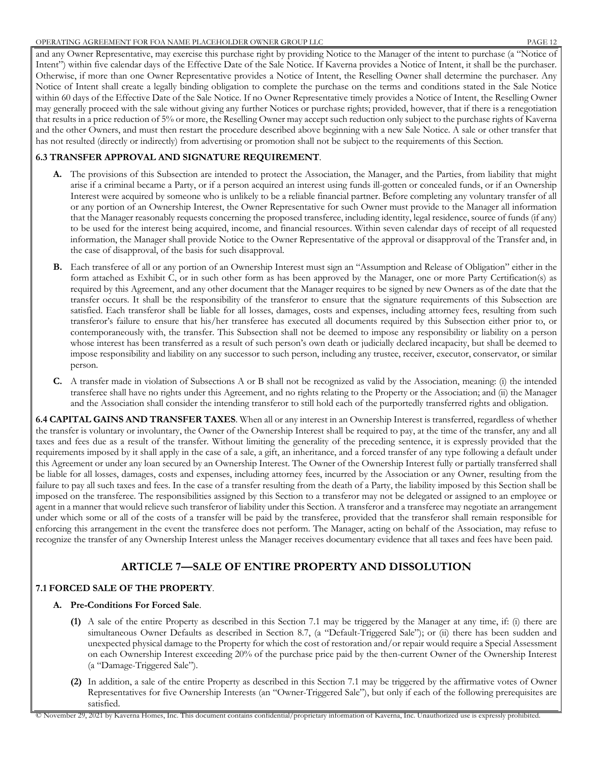and any Owner Representative, may exercise this purchase right by providing Notice to the Manager of the intent to purchase (a "Notice of Intent") within five calendar days of the Effective Date of the Sale Notice. If Kaverna provides a Notice of Intent, it shall be the purchaser. Otherwise, if more than one Owner Representative provides a Notice of Intent, the Reselling Owner shall determine the purchaser. Any Notice of Intent shall create a legally binding obligation to complete the purchase on the terms and conditions stated in the Sale Notice within 60 days of the Effective Date of the Sale Notice. If no Owner Representative timely provides a Notice of Intent, the Reselling Owner may generally proceed with the sale without giving any further Notices or purchase rights; provided, however, that if there is a renegotiation that results in a price reduction of 5% or more, the Reselling Owner may accept such reduction only subject to the purchase rights of Kaverna and the other Owners, and must then restart the procedure described above beginning with a new Sale Notice. A sale or other transfer that has not resulted (directly or indirectly) from advertising or promotion shall not be subject to the requirements of this Section.

### **6.3 TRANSFER APPROVAL AND SIGNATURE REQUIREMENT**.

- **A.** The provisions of this Subsection are intended to protect the Association, the Manager, and the Parties, from liability that might arise if a criminal became a Party, or if a person acquired an interest using funds ill-gotten or concealed funds, or if an Ownership Interest were acquired by someone who is unlikely to be a reliable financial partner. Before completing any voluntary transfer of all or any portion of an Ownership Interest, the Owner Representative for such Owner must provide to the Manager all information that the Manager reasonably requests concerning the proposed transferee, including identity, legal residence, source of funds (if any) to be used for the interest being acquired, income, and financial resources. Within seven calendar days of receipt of all requested information, the Manager shall provide Notice to the Owner Representative of the approval or disapproval of the Transfer and, in the case of disapproval, of the basis for such disapproval.
- **B.** Each transferee of all or any portion of an Ownership Interest must sign an "Assumption and Release of Obligation" either in the form attached as Exhibit C, or in such other form as has been approved by the Manager, one or more Party Certification(s) as required by this Agreement, and any other document that the Manager requires to be signed by new Owners as of the date that the transfer occurs. It shall be the responsibility of the transferor to ensure that the signature requirements of this Subsection are satisfied. Each transferor shall be liable for all losses, damages, costs and expenses, including attorney fees, resulting from such transferor's failure to ensure that his/her transferee has executed all documents required by this Subsection either prior to, or contemporaneously with, the transfer. This Subsection shall not be deemed to impose any responsibility or liability on a person whose interest has been transferred as a result of such person's own death or judicially declared incapacity, but shall be deemed to impose responsibility and liability on any successor to such person, including any trustee, receiver, executor, conservator, or similar person.
- **C.** A transfer made in violation of Subsections A or B shall not be recognized as valid by the Association, meaning: (i) the intended transferee shall have no rights under this Agreement, and no rights relating to the Property or the Association; and (ii) the Manager and the Association shall consider the intending transferor to still hold each of the purportedly transferred rights and obligation.

**6.4 CAPITAL GAINS AND TRANSFER TAXES**. When all or any interest in an Ownership Interest is transferred, regardless of whether the transfer is voluntary or involuntary, the Owner of the Ownership Interest shall be required to pay, at the time of the transfer, any and all taxes and fees due as a result of the transfer. Without limiting the generality of the preceding sentence, it is expressly provided that the requirements imposed by it shall apply in the case of a sale, a gift, an inheritance, and a forced transfer of any type following a default under this Agreement or under any loan secured by an Ownership Interest. The Owner of the Ownership Interest fully or partially transferred shall be liable for all losses, damages, costs and expenses, including attorney fees, incurred by the Association or any Owner, resulting from the failure to pay all such taxes and fees. In the case of a transfer resulting from the death of a Party, the liability imposed by this Section shall be imposed on the transferee. The responsibilities assigned by this Section to a transferor may not be delegated or assigned to an employee or agent in a manner that would relieve such transferor of liability under this Section. A transferor and a transferee may negotiate an arrangement under which some or all of the costs of a transfer will be paid by the transferee, provided that the transferor shall remain responsible for enforcing this arrangement in the event the transferee does not perform. The Manager, acting on behalf of the Association, may refuse to recognize the transfer of any Ownership Interest unless the Manager receives documentary evidence that all taxes and fees have been paid.

## **ARTICLE 7—SALE OF ENTIRE PROPERTY AND DISSOLUTION**

### **7.1 FORCED SALE OF THE PROPERTY**.

### **A. Pre-Conditions For Forced Sale**.

- **(1)** A sale of the entire Property as described in this Section 7.1 may be triggered by the Manager at any time, if: (i) there are simultaneous Owner Defaults as described in Section 8.7, (a "Default-Triggered Sale"); or (ii) there has been sudden and unexpected physical damage to the Property for which the cost of restoration and/or repair would require a Special Assessment on each Ownership Interest exceeding 20% of the purchase price paid by the then-current Owner of the Ownership Interest (a "Damage-Triggered Sale").
- **(2)** In addition, a sale of the entire Property as described in this Section 7.1 may be triggered by the affirmative votes of Owner Representatives for five Ownership Interests (an "Owner-Triggered Sale"), but only if each of the following prerequisites are satisfied.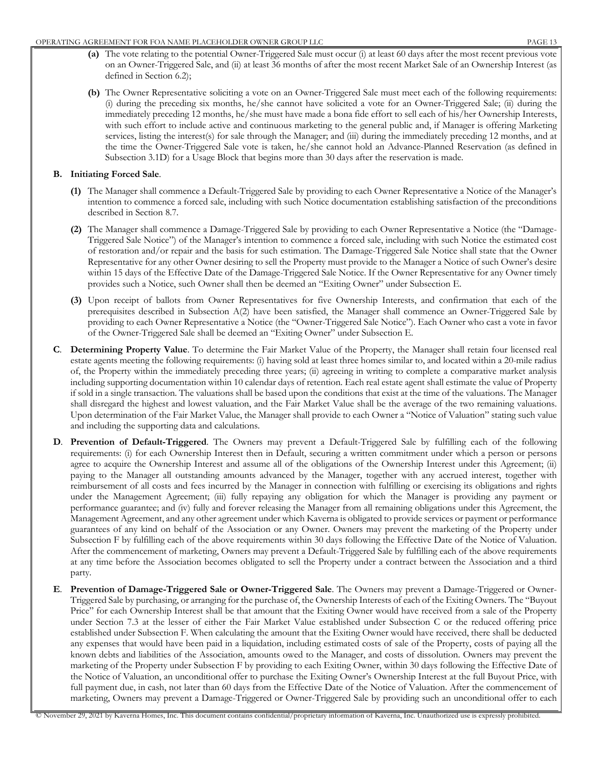- **(a)** The vote relating to the potential Owner-Triggered Sale must occur (i) at least 60 days after the most recent previous vote on an Owner-Triggered Sale, and (ii) at least 36 months of after the most recent Market Sale of an Ownership Interest (as defined in Section 6.2);
- **(b)** The Owner Representative soliciting a vote on an Owner-Triggered Sale must meet each of the following requirements: (i) during the preceding six months, he/she cannot have solicited a vote for an Owner-Triggered Sale; (ii) during the immediately preceding 12 months, he/she must have made a bona fide effort to sell each of his/her Ownership Interests, with such effort to include active and continuous marketing to the general public and, if Manager is offering Marketing services, listing the interest(s) for sale through the Manager; and (iii) during the immediately preceding 12 months, and at the time the Owner-Triggered Sale vote is taken, he/she cannot hold an Advance-Planned Reservation (as defined in Subsection 3.1D) for a Usage Block that begins more than 30 days after the reservation is made.

### **B. Initiating Forced Sale**.

- **(1)** The Manager shall commence a Default-Triggered Sale by providing to each Owner Representative a Notice of the Manager's intention to commence a forced sale, including with such Notice documentation establishing satisfaction of the preconditions described in Section 8.7.
- **(2)** The Manager shall commence a Damage-Triggered Sale by providing to each Owner Representative a Notice (the "Damage-Triggered Sale Notice") of the Manager's intention to commence a forced sale, including with such Notice the estimated cost of restoration and/or repair and the basis for such estimation. The Damage-Triggered Sale Notice shall state that the Owner Representative for any other Owner desiring to sell the Property must provide to the Manager a Notice of such Owner's desire within 15 days of the Effective Date of the Damage-Triggered Sale Notice. If the Owner Representative for any Owner timely provides such a Notice, such Owner shall then be deemed an "Exiting Owner" under Subsection E.
- **(3)** Upon receipt of ballots from Owner Representatives for five Ownership Interests, and confirmation that each of the prerequisites described in Subsection A(2) have been satisfied, the Manager shall commence an Owner-Triggered Sale by providing to each Owner Representative a Notice (the "Owner-Triggered Sale Notice"). Each Owner who cast a vote in favor of the Owner-Triggered Sale shall be deemed an "Exiting Owner" under Subsection E.
- **C**. **Determining Property Value**. To determine the Fair Market Value of the Property, the Manager shall retain four licensed real estate agents meeting the following requirements: (i) having sold at least three homes similar to, and located within a 20-mile radius of, the Property within the immediately preceding three years; (ii) agreeing in writing to complete a comparative market analysis including supporting documentation within 10 calendar days of retention. Each real estate agent shall estimate the value of Property if sold in a single transaction. The valuations shall be based upon the conditions that exist at the time of the valuations. The Manager shall disregard the highest and lowest valuation, and the Fair Market Value shall be the average of the two remaining valuations. Upon determination of the Fair Market Value, the Manager shall provide to each Owner a "Notice of Valuation" stating such value and including the supporting data and calculations.
- **D**. **Prevention of Default-Triggered**. The Owners may prevent a Default-Triggered Sale by fulfilling each of the following requirements: (i) for each Ownership Interest then in Default, securing a written commitment under which a person or persons agree to acquire the Ownership Interest and assume all of the obligations of the Ownership Interest under this Agreement; (ii) paying to the Manager all outstanding amounts advanced by the Manager, together with any accrued interest, together with reimbursement of all costs and fees incurred by the Manager in connection with fulfilling or exercising its obligations and rights under the Management Agreement; (iii) fully repaying any obligation for which the Manager is providing any payment or performance guarantee; and (iv) fully and forever releasing the Manager from all remaining obligations under this Agreement, the Management Agreement, and any other agreement under which Kaverna is obligated to provide services or payment or performance guarantees of any kind on behalf of the Association or any Owner. Owners may prevent the marketing of the Property under Subsection F by fulfilling each of the above requirements within 30 days following the Effective Date of the Notice of Valuation. After the commencement of marketing, Owners may prevent a Default-Triggered Sale by fulfilling each of the above requirements at any time before the Association becomes obligated to sell the Property under a contract between the Association and a third party.
- **E**. **Prevention of Damage-Triggered Sale or Owner-Triggered Sale**. The Owners may prevent a Damage-Triggered or Owner-Triggered Sale by purchasing, or arranging for the purchase of, the Ownership Interests of each of the Exiting Owners. The "Buyout Price" for each Ownership Interest shall be that amount that the Exiting Owner would have received from a sale of the Property under Section 7.3 at the lesser of either the Fair Market Value established under Subsection C or the reduced offering price established under Subsection F. When calculating the amount that the Exiting Owner would have received, there shall be deducted any expenses that would have been paid in a liquidation, including estimated costs of sale of the Property, costs of paying all the known debts and liabilities of the Association, amounts owed to the Manager, and costs of dissolution. Owners may prevent the marketing of the Property under Subsection F by providing to each Exiting Owner, within 30 days following the Effective Date of the Notice of Valuation, an unconditional offer to purchase the Exiting Owner's Ownership Interest at the full Buyout Price, with full payment due, in cash, not later than 60 days from the Effective Date of the Notice of Valuation. After the commencement of marketing, Owners may prevent a Damage-Triggered or Owner-Triggered Sale by providing such an unconditional offer to each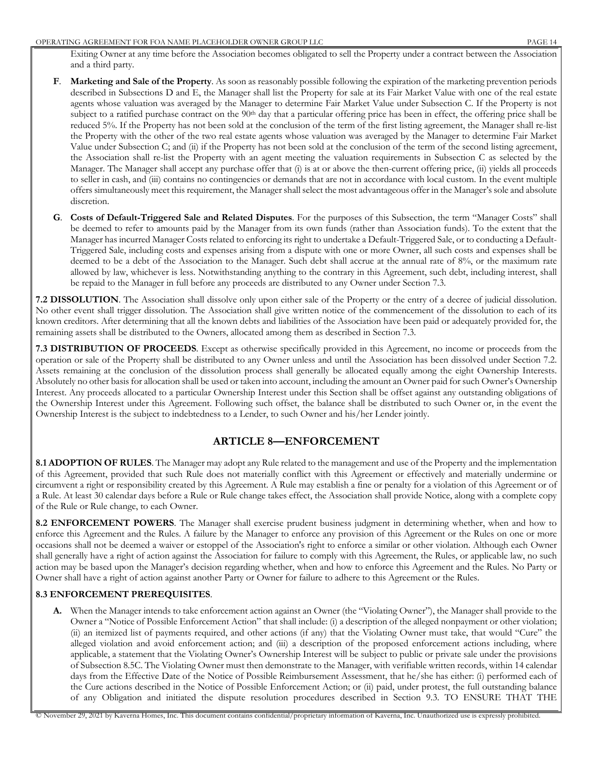Exiting Owner at any time before the Association becomes obligated to sell the Property under a contract between the Association and a third party.

- **F**. **Marketing and Sale of the Property**. As soon as reasonably possible following the expiration of the marketing prevention periods described in Subsections D and E, the Manager shall list the Property for sale at its Fair Market Value with one of the real estate agents whose valuation was averaged by the Manager to determine Fair Market Value under Subsection C. If the Property is not subject to a ratified purchase contract on the 90<sup>th</sup> day that a particular offering price has been in effect, the offering price shall be reduced 5%. If the Property has not been sold at the conclusion of the term of the first listing agreement, the Manager shall re-list the Property with the other of the two real estate agents whose valuation was averaged by the Manager to determine Fair Market Value under Subsection C; and (ii) if the Property has not been sold at the conclusion of the term of the second listing agreement, the Association shall re-list the Property with an agent meeting the valuation requirements in Subsection C as selected by the Manager. The Manager shall accept any purchase offer that (i) is at or above the then-current offering price, (ii) yields all proceeds to seller in cash, and (iii) contains no contingencies or demands that are not in accordance with local custom. In the event multiple offers simultaneously meet this requirement, the Manager shall select the most advantageous offer in the Manager's sole and absolute discretion.
- **G**. **Costs of Default-Triggered Sale and Related Disputes**. For the purposes of this Subsection, the term "Manager Costs" shall be deemed to refer to amounts paid by the Manager from its own funds (rather than Association funds). To the extent that the Manager has incurred Manager Costs related to enforcing its right to undertake a Default-Triggered Sale, or to conducting a Default-Triggered Sale, including costs and expenses arising from a dispute with one or more Owner, all such costs and expenses shall be deemed to be a debt of the Association to the Manager. Such debt shall accrue at the annual rate of 8%, or the maximum rate allowed by law, whichever is less. Notwithstanding anything to the contrary in this Agreement, such debt, including interest, shall be repaid to the Manager in full before any proceeds are distributed to any Owner under Section 7.3.

**7.2 DISSOLUTION**. The Association shall dissolve only upon either sale of the Property or the entry of a decree of judicial dissolution. No other event shall trigger dissolution. The Association shall give written notice of the commencement of the dissolution to each of its known creditors. After determining that all the known debts and liabilities of the Association have been paid or adequately provided for, the remaining assets shall be distributed to the Owners, allocated among them as described in Section 7.3.

**7.3 DISTRIBUTION OF PROCEEDS**. Except as otherwise specifically provided in this Agreement, no income or proceeds from the operation or sale of the Property shall be distributed to any Owner unless and until the Association has been dissolved under Section 7.2. Assets remaining at the conclusion of the dissolution process shall generally be allocated equally among the eight Ownership Interests. Absolutely no other basis for allocation shall be used or taken into account, including the amount an Owner paid for such Owner's Ownership Interest. Any proceeds allocated to a particular Ownership Interest under this Section shall be offset against any outstanding obligations of the Ownership Interest under this Agreement. Following such offset, the balance shall be distributed to such Owner or, in the event the Ownership Interest is the subject to indebtedness to a Lender, to such Owner and his/her Lender jointly.

# **ARTICLE 8—ENFORCEMENT**

**8.1 ADOPTION OF RULES**. The Manager may adopt any Rule related to the management and use of the Property and the implementation of this Agreement, provided that such Rule does not materially conflict with this Agreement or effectively and materially undermine or circumvent a right or responsibility created by this Agreement. A Rule may establish a fine or penalty for a violation of this Agreement or of a Rule. At least 30 calendar days before a Rule or Rule change takes effect, the Association shall provide Notice, along with a complete copy of the Rule or Rule change, to each Owner.

**8.2 ENFORCEMENT POWERS**. The Manager shall exercise prudent business judgment in determining whether, when and how to enforce this Agreement and the Rules. A failure by the Manager to enforce any provision of this Agreement or the Rules on one or more occasions shall not be deemed a waiver or estoppel of the Association's right to enforce a similar or other violation. Although each Owner shall generally have a right of action against the Association for failure to comply with this Agreement, the Rules, or applicable law, no such action may be based upon the Manager's decision regarding whether, when and how to enforce this Agreement and the Rules. No Party or Owner shall have a right of action against another Party or Owner for failure to adhere to this Agreement or the Rules.

### **8.3 ENFORCEMENT PREREQUISITES**.

**A.** When the Manager intends to take enforcement action against an Owner (the "Violating Owner"), the Manager shall provide to the Owner a "Notice of Possible Enforcement Action" that shall include: (i) a description of the alleged nonpayment or other violation; (ii) an itemized list of payments required, and other actions (if any) that the Violating Owner must take, that would "Cure" the alleged violation and avoid enforcement action; and (iii) a description of the proposed enforcement actions including, where applicable, a statement that the Violating Owner's Ownership Interest will be subject to public or private sale under the provisions of Subsection 8.5C. The Violating Owner must then demonstrate to the Manager, with verifiable written records, within 14 calendar days from the Effective Date of the Notice of Possible Reimbursement Assessment, that he/she has either: (i) performed each of the Cure actions described in the Notice of Possible Enforcement Action; or (ii) paid, under protest, the full outstanding balance of any Obligation and initiated the dispute resolution procedures described in Section 9.3. TO ENSURE THAT THE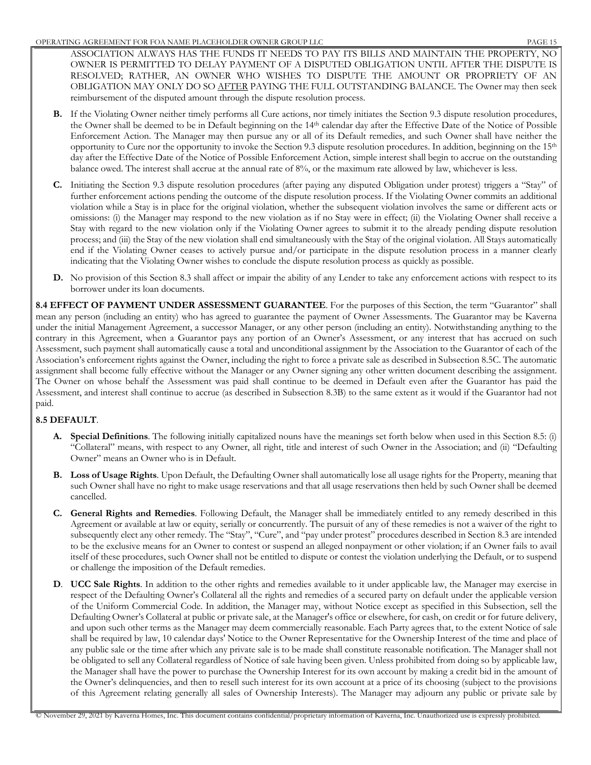ASSOCIATION ALWAYS HAS THE FUNDS IT NEEDS TO PAY ITS BILLS AND MAINTAIN THE PROPERTY, NO OWNER IS PERMITTED TO DELAY PAYMENT OF A DISPUTED OBLIGATION UNTIL AFTER THE DISPUTE IS RESOLVED; RATHER, AN OWNER WHO WISHES TO DISPUTE THE AMOUNT OR PROPRIETY OF AN OBLIGATION MAY ONLY DO SO AFTER PAYING THE FULL OUTSTANDING BALANCE. The Owner may then seek reimbursement of the disputed amount through the dispute resolution process.

- **B.** If the Violating Owner neither timely performs all Cure actions, nor timely initiates the Section 9.3 dispute resolution procedures, the Owner shall be deemed to be in Default beginning on the 14th calendar day after the Effective Date of the Notice of Possible Enforcement Action. The Manager may then pursue any or all of its Default remedies, and such Owner shall have neither the opportunity to Cure nor the opportunity to invoke the Section 9.3 dispute resolution procedures. In addition, beginning on the 15th day after the Effective Date of the Notice of Possible Enforcement Action, simple interest shall begin to accrue on the outstanding balance owed. The interest shall accrue at the annual rate of 8%, or the maximum rate allowed by law, whichever is less.
- **C.** Initiating the Section 9.3 dispute resolution procedures (after paying any disputed Obligation under protest) triggers a "Stay" of further enforcement actions pending the outcome of the dispute resolution process. If the Violating Owner commits an additional violation while a Stay is in place for the original violation, whether the subsequent violation involves the same or different acts or omissions: (i) the Manager may respond to the new violation as if no Stay were in effect; (ii) the Violating Owner shall receive a Stay with regard to the new violation only if the Violating Owner agrees to submit it to the already pending dispute resolution process; and (iii) the Stay of the new violation shall end simultaneously with the Stay of the original violation. All Stays automatically end if the Violating Owner ceases to actively pursue and/or participate in the dispute resolution process in a manner clearly indicating that the Violating Owner wishes to conclude the dispute resolution process as quickly as possible.
- **D.** No provision of this Section 8.3 shall affect or impair the ability of any Lender to take any enforcement actions with respect to its borrower under its loan documents.

**8.4 EFFECT OF PAYMENT UNDER ASSESSMENT GUARANTEE**. For the purposes of this Section, the term "Guarantor" shall mean any person (including an entity) who has agreed to guarantee the payment of Owner Assessments. The Guarantor may be Kaverna under the initial Management Agreement, a successor Manager, or any other person (including an entity). Notwithstanding anything to the contrary in this Agreement, when a Guarantor pays any portion of an Owner's Assessment, or any interest that has accrued on such Assessment, such payment shall automatically cause a total and unconditional assignment by the Association to the Guarantor of each of the Association's enforcement rights against the Owner, including the right to force a private sale as described in Subsection 8.5C. The automatic assignment shall become fully effective without the Manager or any Owner signing any other written document describing the assignment. The Owner on whose behalf the Assessment was paid shall continue to be deemed in Default even after the Guarantor has paid the Assessment, and interest shall continue to accrue (as described in Subsection 8.3B) to the same extent as it would if the Guarantor had not paid.

## **8.5 DEFAULT**.

- **A. Special Definitions**. The following initially capitalized nouns have the meanings set forth below when used in this Section 8.5: (i) "Collateral" means, with respect to any Owner, all right, title and interest of such Owner in the Association; and (ii) "Defaulting Owner" means an Owner who is in Default.
- **B. Loss of Usage Rights**. Upon Default, the Defaulting Owner shall automatically lose all usage rights for the Property, meaning that such Owner shall have no right to make usage reservations and that all usage reservations then held by such Owner shall be deemed cancelled.
- **C. General Rights and Remedies**. Following Default, the Manager shall be immediately entitled to any remedy described in this Agreement or available at law or equity, serially or concurrently. The pursuit of any of these remedies is not a waiver of the right to subsequently elect any other remedy. The "Stay", "Cure", and "pay under protest" procedures described in Section 8.3 are intended to be the exclusive means for an Owner to contest or suspend an alleged nonpayment or other violation; if an Owner fails to avail itself of these procedures, such Owner shall not be entitled to dispute or contest the violation underlying the Default, or to suspend or challenge the imposition of the Default remedies.
- **D**. **UCC Sale Rights**. In addition to the other rights and remedies available to it under applicable law, the Manager may exercise in respect of the Defaulting Owner's Collateral all the rights and remedies of a secured party on default under the applicable version of the Uniform Commercial Code. In addition, the Manager may, without Notice except as specified in this Subsection, sell the Defaulting Owner's Collateral at public or private sale, at the Manager's office or elsewhere, for cash, on credit or for future delivery, and upon such other terms as the Manager may deem commercially reasonable. Each Party agrees that, to the extent Notice of sale shall be required by law, 10 calendar days' Notice to the Owner Representative for the Ownership Interest of the time and place of any public sale or the time after which any private sale is to be made shall constitute reasonable notification. The Manager shall not be obligated to sell any Collateral regardless of Notice of sale having been given. Unless prohibited from doing so by applicable law, the Manager shall have the power to purchase the Ownership Interest for its own account by making a credit bid in the amount of the Owner's delinquencies, and then to resell such interest for its own account at a price of its choosing (subject to the provisions of this Agreement relating generally all sales of Ownership Interests). The Manager may adjourn any public or private sale by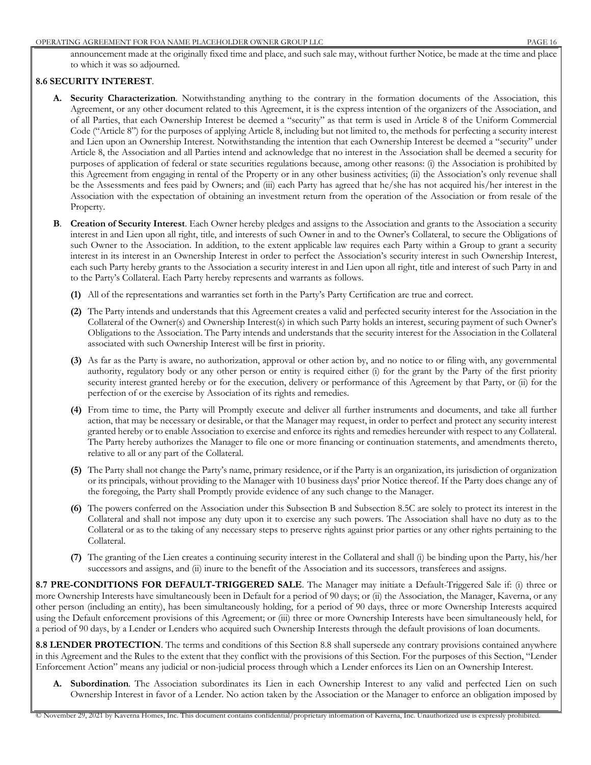announcement made at the originally fixed time and place, and such sale may, without further Notice, be made at the time and place to which it was so adjourned.

#### **8.6 SECURITY INTEREST**.

- **A. Security Characterization**. Notwithstanding anything to the contrary in the formation documents of the Association, this Agreement, or any other document related to this Agreement, it is the express intention of the organizers of the Association, and of all Parties, that each Ownership Interest be deemed a "security" as that term is used in Article 8 of the Uniform Commercial Code ("Article 8") for the purposes of applying Article 8, including but not limited to, the methods for perfecting a security interest and Lien upon an Ownership Interest. Notwithstanding the intention that each Ownership Interest be deemed a "security" under Article 8, the Association and all Parties intend and acknowledge that no interest in the Association shall be deemed a security for purposes of application of federal or state securities regulations because, among other reasons: (i) the Association is prohibited by this Agreement from engaging in rental of the Property or in any other business activities; (ii) the Association's only revenue shall be the Assessments and fees paid by Owners; and (iii) each Party has agreed that he/she has not acquired his/her interest in the Association with the expectation of obtaining an investment return from the operation of the Association or from resale of the Property.
- **B.** Creation of Security Interest. Each Owner hereby pledges and assigns to the Association and grants to the Association a security interest in and Lien upon all right, title, and interests of such Owner in and to the Owner's Collateral, to secure the Obligations of such Owner to the Association. In addition, to the extent applicable law requires each Party within a Group to grant a security interest in its interest in an Ownership Interest in order to perfect the Association's security interest in such Ownership Interest, each such Party hereby grants to the Association a security interest in and Lien upon all right, title and interest of such Party in and to the Party's Collateral. Each Party hereby represents and warrants as follows.
	- **(1)** All of the representations and warranties set forth in the Party's Party Certification are true and correct.
	- **(2)** The Party intends and understands that this Agreement creates a valid and perfected security interest for the Association in the Collateral of the Owner(s) and Ownership Interest(s) in which such Party holds an interest, securing payment of such Owner's Obligations to the Association. The Party intends and understands that the security interest for the Association in the Collateral associated with such Ownership Interest will be first in priority.
	- **(3)** As far as the Party is aware, no authorization, approval or other action by, and no notice to or filing with, any governmental authority, regulatory body or any other person or entity is required either (i) for the grant by the Party of the first priority security interest granted hereby or for the execution, delivery or performance of this Agreement by that Party, or (ii) for the perfection of or the exercise by Association of its rights and remedies.
	- **(4)** From time to time, the Party will Promptly execute and deliver all further instruments and documents, and take all further action, that may be necessary or desirable, or that the Manager may request, in order to perfect and protect any security interest granted hereby or to enable Association to exercise and enforce its rights and remedies hereunder with respect to any Collateral. The Party hereby authorizes the Manager to file one or more financing or continuation statements, and amendments thereto, relative to all or any part of the Collateral.
	- **(5)** The Party shall not change the Party's name, primary residence, or if the Party is an organization, its jurisdiction of organization or its principals, without providing to the Manager with 10 business days' prior Notice thereof. If the Party does change any of the foregoing, the Party shall Promptly provide evidence of any such change to the Manager.
	- **(6)** The powers conferred on the Association under this Subsection B and Subsection 8.5C are solely to protect its interest in the Collateral and shall not impose any duty upon it to exercise any such powers. The Association shall have no duty as to the Collateral or as to the taking of any necessary steps to preserve rights against prior parties or any other rights pertaining to the Collateral.
	- **(7)** The granting of the Lien creates a continuing security interest in the Collateral and shall (i) be binding upon the Party, his/her successors and assigns, and (ii) inure to the benefit of the Association and its successors, transferees and assigns.

**8.7 PRE-CONDITIONS FOR DEFAULT-TRIGGERED SALE**. The Manager may initiate a Default-Triggered Sale if: (i) three or more Ownership Interests have simultaneously been in Default for a period of 90 days; or (ii) the Association, the Manager, Kaverna, or any other person (including an entity), has been simultaneously holding, for a period of 90 days, three or more Ownership Interests acquired using the Default enforcement provisions of this Agreement; or (iii) three or more Ownership Interests have been simultaneously held, for a period of 90 days, by a Lender or Lenders who acquired such Ownership Interests through the default provisions of loan documents.

**8.8 LENDER PROTECTION**. The terms and conditions of this Section 8.8 shall supersede any contrary provisions contained anywhere in this Agreement and the Rules to the extent that they conflict with the provisions of this Section. For the purposes of this Section, "Lender Enforcement Action" means any judicial or non-judicial process through which a Lender enforces its Lien on an Ownership Interest.

**A. Subordination**. The Association subordinates its Lien in each Ownership Interest to any valid and perfected Lien on such Ownership Interest in favor of a Lender. No action taken by the Association or the Manager to enforce an obligation imposed by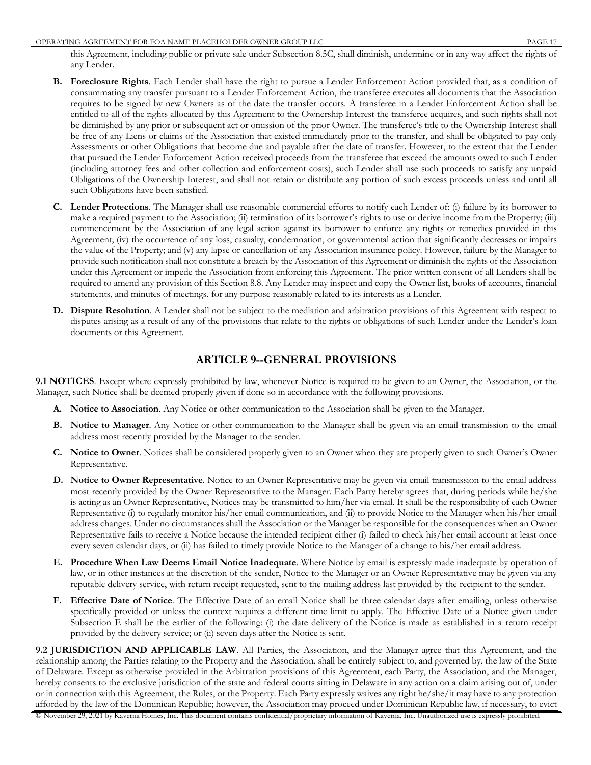this Agreement, including public or private sale under Subsection 8.5C, shall diminish, undermine or in any way affect the rights of any Lender.

- **B. Foreclosure Rights**. Each Lender shall have the right to pursue a Lender Enforcement Action provided that, as a condition of consummating any transfer pursuant to a Lender Enforcement Action, the transferee executes all documents that the Association requires to be signed by new Owners as of the date the transfer occurs. A transferee in a Lender Enforcement Action shall be entitled to all of the rights allocated by this Agreement to the Ownership Interest the transferee acquires, and such rights shall not be diminished by any prior or subsequent act or omission of the prior Owner. The transferee's title to the Ownership Interest shall be free of any Liens or claims of the Association that existed immediately prior to the transfer, and shall be obligated to pay only Assessments or other Obligations that become due and payable after the date of transfer. However, to the extent that the Lender that pursued the Lender Enforcement Action received proceeds from the transferee that exceed the amounts owed to such Lender (including attorney fees and other collection and enforcement costs), such Lender shall use such proceeds to satisfy any unpaid Obligations of the Ownership Interest, and shall not retain or distribute any portion of such excess proceeds unless and until all such Obligations have been satisfied.
- **C. Lender Protections**. The Manager shall use reasonable commercial efforts to notify each Lender of: (i) failure by its borrower to make a required payment to the Association; (ii) termination of its borrower's rights to use or derive income from the Property; (iii) commencement by the Association of any legal action against its borrower to enforce any rights or remedies provided in this Agreement; (iv) the occurrence of any loss, casualty, condemnation, or governmental action that significantly decreases or impairs the value of the Property; and (v) any lapse or cancellation of any Association insurance policy. However, failure by the Manager to provide such notification shall not constitute a breach by the Association of this Agreement or diminish the rights of the Association under this Agreement or impede the Association from enforcing this Agreement. The prior written consent of all Lenders shall be required to amend any provision of this Section 8.8. Any Lender may inspect and copy the Owner list, books of accounts, financial statements, and minutes of meetings, for any purpose reasonably related to its interests as a Lender.
- **D. Dispute Resolution**. A Lender shall not be subject to the mediation and arbitration provisions of this Agreement with respect to disputes arising as a result of any of the provisions that relate to the rights or obligations of such Lender under the Lender's loan documents or this Agreement.

## **ARTICLE 9--GENERAL PROVISIONS**

**9.1 NOTICES**. Except where expressly prohibited by law, whenever Notice is required to be given to an Owner, the Association, or the Manager, such Notice shall be deemed properly given if done so in accordance with the following provisions.

- **A. Notice to Association**. Any Notice or other communication to the Association shall be given to the Manager.
- **B. Notice to Manager**. Any Notice or other communication to the Manager shall be given via an email transmission to the email address most recently provided by the Manager to the sender.
- **C. Notice to Owner**. Notices shall be considered properly given to an Owner when they are properly given to such Owner's Owner Representative.
- **D. Notice to Owner Representative**. Notice to an Owner Representative may be given via email transmission to the email address most recently provided by the Owner Representative to the Manager. Each Party hereby agrees that, during periods while he/she is acting as an Owner Representative, Notices may be transmitted to him/her via email. It shall be the responsibility of each Owner Representative (i) to regularly monitor his/her email communication, and (ii) to provide Notice to the Manager when his/her email address changes. Under no circumstances shall the Association or the Manager be responsible for the consequences when an Owner Representative fails to receive a Notice because the intended recipient either (i) failed to check his/her email account at least once every seven calendar days, or (ii) has failed to timely provide Notice to the Manager of a change to his/her email address.
- **E. Procedure When Law Deems Email Notice Inadequate**. Where Notice by email is expressly made inadequate by operation of law, or in other instances at the discretion of the sender, Notice to the Manager or an Owner Representative may be given via any reputable delivery service, with return receipt requested, sent to the mailing address last provided by the recipient to the sender.
- **F. Effective Date of Notice**. The Effective Date of an email Notice shall be three calendar days after emailing, unless otherwise specifically provided or unless the context requires a different time limit to apply. The Effective Date of a Notice given under Subsection E shall be the earlier of the following: (i) the date delivery of the Notice is made as established in a return receipt provided by the delivery service; or (ii) seven days after the Notice is sent.

**9.2 JURISDICTION AND APPLICABLE LAW**. All Parties, the Association, and the Manager agree that this Agreement, and the relationship among the Parties relating to the Property and the Association, shall be entirely subject to, and governed by, the law of the State of Delaware. Except as otherwise provided in the Arbitration provisions of this Agreement, each Party, the Association, and the Manager, hereby consents to the exclusive jurisdiction of the state and federal courts sitting in Delaware in any action on a claim arising out of, under or in connection with this Agreement, the Rules, or the Property. Each Party expressly waives any right he/she/it may have to any protection afforded by the law of the Dominican Republic; however, the Association may proceed under Dominican Republic law, if necessary, to evict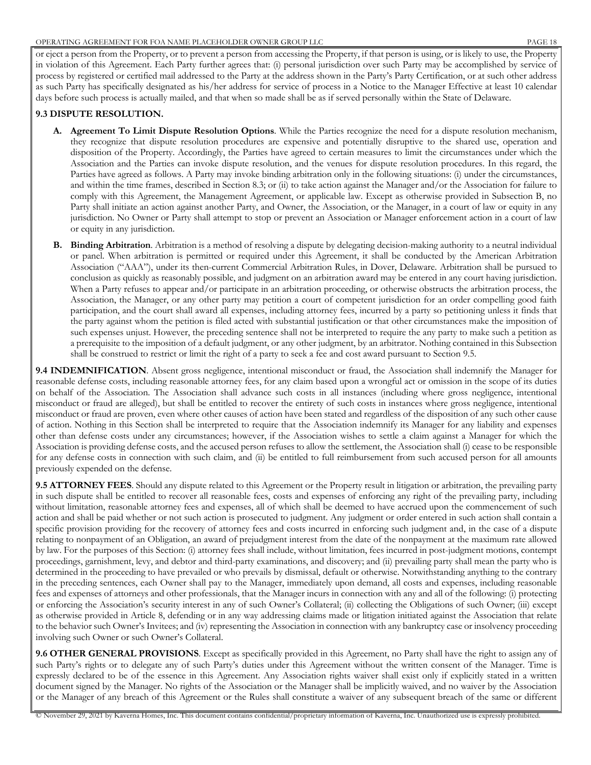or eject a person from the Property, or to prevent a person from accessing the Property, if that person is using, or is likely to use, the Property in violation of this Agreement. Each Party further agrees that: (i) personal jurisdiction over such Party may be accomplished by service of process by registered or certified mail addressed to the Party at the address shown in the Party's Party Certification, or at such other address as such Party has specifically designated as his/her address for service of process in a Notice to the Manager Effective at least 10 calendar days before such process is actually mailed, and that when so made shall be as if served personally within the State of Delaware.

#### **9.3 DISPUTE RESOLUTION.**

- **A. Agreement To Limit Dispute Resolution Options**. While the Parties recognize the need for a dispute resolution mechanism, they recognize that dispute resolution procedures are expensive and potentially disruptive to the shared use, operation and disposition of the Property. Accordingly, the Parties have agreed to certain measures to limit the circumstances under which the Association and the Parties can invoke dispute resolution, and the venues for dispute resolution procedures. In this regard, the Parties have agreed as follows. A Party may invoke binding arbitration only in the following situations: (i) under the circumstances, and within the time frames, described in Section 8.3; or (ii) to take action against the Manager and/or the Association for failure to comply with this Agreement, the Management Agreement, or applicable law. Except as otherwise provided in Subsection B, no Party shall initiate an action against another Party, and Owner, the Association, or the Manager, in a court of law or equity in any jurisdiction. No Owner or Party shall attempt to stop or prevent an Association or Manager enforcement action in a court of law or equity in any jurisdiction.
- **B. Binding Arbitration**. Arbitration is a method of resolving a dispute by delegating decision-making authority to a neutral individual or panel. When arbitration is permitted or required under this Agreement, it shall be conducted by the American Arbitration Association ("AAA"), under its then-current Commercial Arbitration Rules, in Dover, Delaware. Arbitration shall be pursued to conclusion as quickly as reasonably possible, and judgment on an arbitration award may be entered in any court having jurisdiction. When a Party refuses to appear and/or participate in an arbitration proceeding, or otherwise obstructs the arbitration process, the Association, the Manager, or any other party may petition a court of competent jurisdiction for an order compelling good faith participation, and the court shall award all expenses, including attorney fees, incurred by a party so petitioning unless it finds that the party against whom the petition is filed acted with substantial justification or that other circumstances make the imposition of such expenses unjust. However, the preceding sentence shall not be interpreted to require the any party to make such a petition as a prerequisite to the imposition of a default judgment, or any other judgment, by an arbitrator. Nothing contained in this Subsection shall be construed to restrict or limit the right of a party to seek a fee and cost award pursuant to Section 9.5.

**9.4 INDEMNIFICATION**. Absent gross negligence, intentional misconduct or fraud, the Association shall indemnify the Manager for reasonable defense costs, including reasonable attorney fees, for any claim based upon a wrongful act or omission in the scope of its duties on behalf of the Association. The Association shall advance such costs in all instances (including where gross negligence, intentional misconduct or fraud are alleged), but shall be entitled to recover the entirety of such costs in instances where gross negligence, intentional misconduct or fraud are proven, even where other causes of action have been stated and regardless of the disposition of any such other cause of action. Nothing in this Section shall be interpreted to require that the Association indemnify its Manager for any liability and expenses other than defense costs under any circumstances; however, if the Association wishes to settle a claim against a Manager for which the Association is providing defense costs, and the accused person refuses to allow the settlement, the Association shall (i) cease to be responsible for any defense costs in connection with such claim, and (ii) be entitled to full reimbursement from such accused person for all amounts previously expended on the defense.

**9.5 ATTORNEY FEES**. Should any dispute related to this Agreement or the Property result in litigation or arbitration, the prevailing party in such dispute shall be entitled to recover all reasonable fees, costs and expenses of enforcing any right of the prevailing party, including without limitation, reasonable attorney fees and expenses, all of which shall be deemed to have accrued upon the commencement of such action and shall be paid whether or not such action is prosecuted to judgment. Any judgment or order entered in such action shall contain a specific provision providing for the recovery of attorney fees and costs incurred in enforcing such judgment and, in the case of a dispute relating to nonpayment of an Obligation, an award of prejudgment interest from the date of the nonpayment at the maximum rate allowed by law. For the purposes of this Section: (i) attorney fees shall include, without limitation, fees incurred in post-judgment motions, contempt proceedings, garnishment, levy, and debtor and third-party examinations, and discovery; and (ii) prevailing party shall mean the party who is determined in the proceeding to have prevailed or who prevails by dismissal, default or otherwise. Notwithstanding anything to the contrary in the preceding sentences, each Owner shall pay to the Manager, immediately upon demand, all costs and expenses, including reasonable fees and expenses of attorneys and other professionals, that the Manager incurs in connection with any and all of the following: (i) protecting or enforcing the Association's security interest in any of such Owner's Collateral; (ii) collecting the Obligations of such Owner; (iii) except as otherwise provided in Article 8, defending or in any way addressing claims made or litigation initiated against the Association that relate to the behavior such Owner's Invitees; and (iv) representing the Association in connection with any bankruptcy case or insolvency proceeding involving such Owner or such Owner's Collateral.

**9.6 OTHER GENERAL PROVISIONS**. Except as specifically provided in this Agreement, no Party shall have the right to assign any of such Party's rights or to delegate any of such Party's duties under this Agreement without the written consent of the Manager. Time is expressly declared to be of the essence in this Agreement. Any Association rights waiver shall exist only if explicitly stated in a written document signed by the Manager. No rights of the Association or the Manager shall be implicitly waived, and no waiver by the Association or the Manager of any breach of this Agreement or the Rules shall constitute a waiver of any subsequent breach of the same or different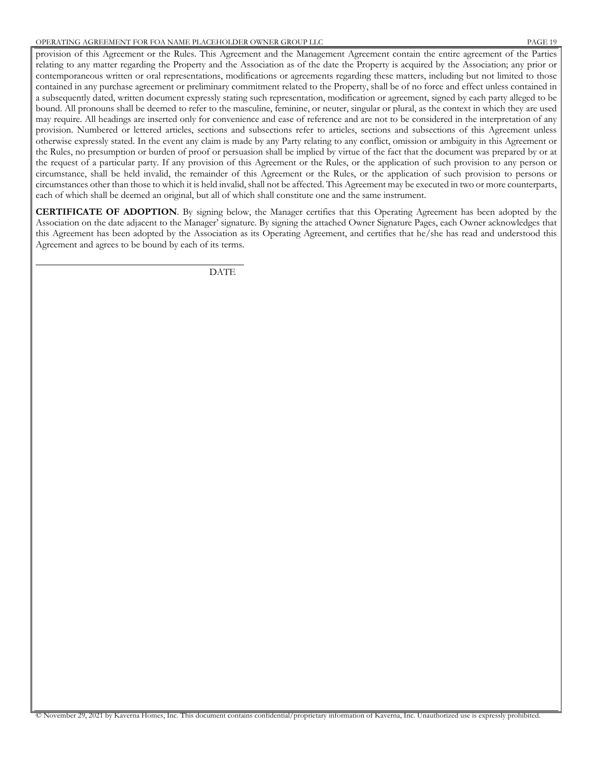provision of this Agreement or the Rules. This Agreement and the Management Agreement contain the entire agreement of the Parties relating to any matter regarding the Property and the Association as of the date the Property is acquired by the Association; any prior or contemporaneous written or oral representations, modifications or agreements regarding these matters, including but not limited to those contained in any purchase agreement or preliminary commitment related to the Property, shall be of no force and effect unless contained in a subsequently dated, written document expressly stating such representation, modification or agreement, signed by each party alleged to be bound. All pronouns shall be deemed to refer to the masculine, feminine, or neuter, singular or plural, as the context in which they are used may require. All headings are inserted only for convenience and ease of reference and are not to be considered in the interpretation of any provision. Numbered or lettered articles, sections and subsections refer to articles, sections and subsections of this Agreement unless otherwise expressly stated. In the event any claim is made by any Party relating to any conflict, omission or ambiguity in this Agreement or the Rules, no presumption or burden of proof or persuasion shall be implied by virtue of the fact that the document was prepared by or at the request of a particular party. If any provision of this Agreement or the Rules, or the application of such provision to any person or circumstance, shall be held invalid, the remainder of this Agreement or the Rules, or the application of such provision to persons or circumstances other than those to which it is held invalid, shall not be affected. This Agreement may be executed in two or more counterparts, each of which shall be deemed an original, but all of which shall constitute one and the same instrument.

**CERTIFICATE OF ADOPTION**. By signing below, the Manager certifies that this Operating Agreement has been adopted by the Association on the date adjacent to the Manager' signature. By signing the attached Owner Signature Pages, each Owner acknowledges that this Agreement has been adopted by the Association as its Operating Agreement, and certifies that he/she has read and understood this Agreement and agrees to be bound by each of its terms.

DATE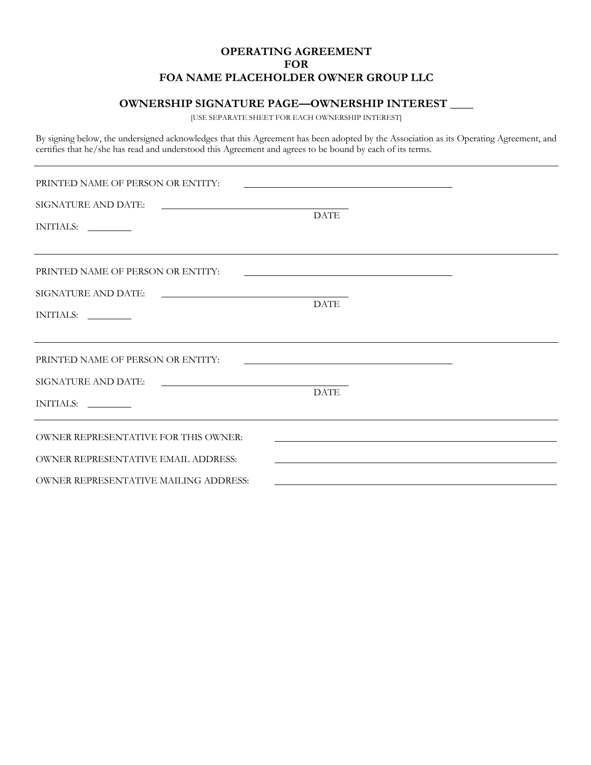## **OWNERSHIP SIGNATURE PAGE—OWNERSHIP INTEREST \_\_\_\_**

[USE SEPARATE SHEET FOR EACH OWNERSHIP INTEREST]

By signing below, the undersigned acknowledges that this Agreement has been adopted by the Association as its Operating Agreement, and certifies that he/she has read and understood this Agreement and agrees to be bound by each of its terms.

| PRINTED NAME OF PERSON OR ENTITY:                                                                                                  |             |  |  |  |  |  |  |
|------------------------------------------------------------------------------------------------------------------------------------|-------------|--|--|--|--|--|--|
| SIGNATURE AND DATE:<br>INITIALS:                                                                                                   | <b>DATE</b> |  |  |  |  |  |  |
| PRINTED NAME OF PERSON OR ENTITY:<br>SIGNATURE AND DATE:<br><u> 1989 - Johann Barbara, martxa alemaniar arg</u><br>INITIALS:       | <b>DATE</b> |  |  |  |  |  |  |
| PRINTED NAME OF PERSON OR ENTITY:<br>SIGNATURE AND DATE:<br>INITIALS:                                                              | <b>DATE</b> |  |  |  |  |  |  |
| OWNER REPRESENTATIVE FOR THIS OWNER:<br><b>OWNER REPRESENTATIVE EMAIL ADDRESS:</b><br><b>OWNER REPRESENTATIVE MAILING ADDRESS:</b> |             |  |  |  |  |  |  |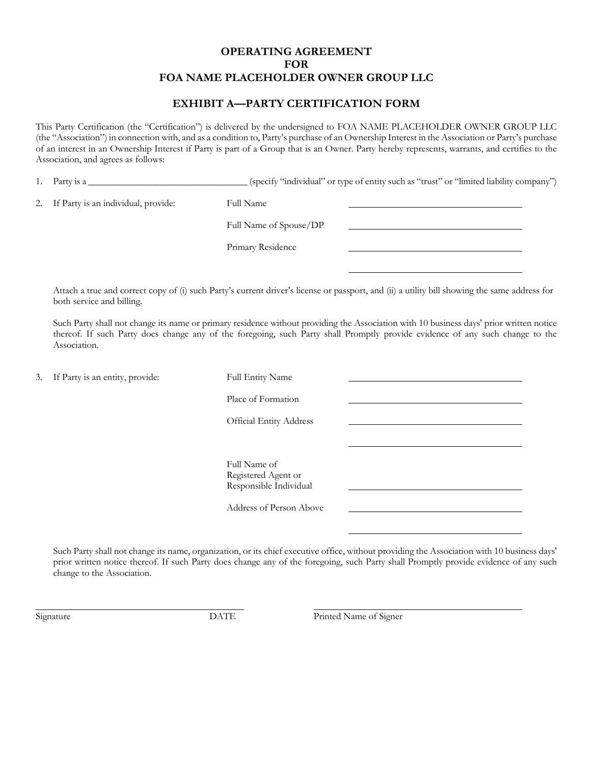## **EXHIBIT A—PARTY CERTIFICATION FORM**

This Party Certification (the "Certification") is delivered by the undersigned to FOA NAME PLACEHOLDER OWNER GROUP LLC (the "Association") in connection with, and as a condition to, Party's purchase of an Ownership Interest in the Association or Party's purchase of an interest in an Ownership Interest if Party is part of a Group that is an Owner. Party hereby represents, warrants, and certifies to the Association, and agrees as follows:

1. Party is a \_\_\_\_\_\_\_\_\_\_\_\_\_\_\_\_\_\_\_\_\_\_\_\_\_\_\_\_\_\_\_(specify "individual" or type of entity such as "trust" or "limited liability company")

2. If Party is an individual, provide: Full Name

Full Name of Spouse/DP

Primary Residence

Attach a true and correct copy of (i) such Party's current driver's license or passport, and (ii) a utility bill showing the same address for both service and billing.

Such Party shall not change its name or primary residence without providing the Association with 10 business days' prior written notice thereof. If such Party does change any of the foregoing, such Party shall Promptly provide evidence of any such change to the Association.

| 3. If Party is an entity, provide: | Full Entity Name                                                                         |  |
|------------------------------------|------------------------------------------------------------------------------------------|--|
|                                    | Place of Formation<br><b>Official Entity Address</b>                                     |  |
|                                    | Full Name of<br>Registered Agent or<br>Responsible Individual<br>Address of Person Above |  |

Such Party shall not change its name, organization, or its chief executive office, without providing the Association with 10 business days' prior written notice thereof. If such Party does change any of the foregoing, such Party shall Promptly provide evidence of any such change to the Association.

Signature **DATE** Printed Name of Signer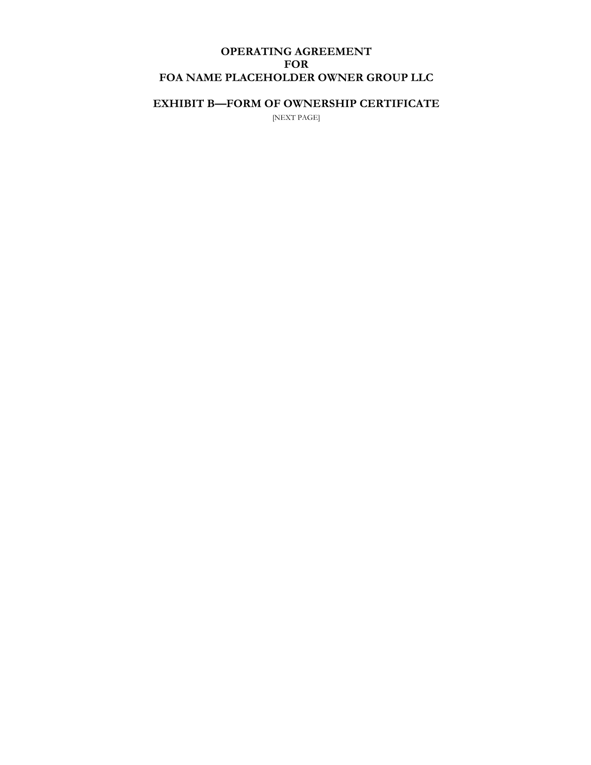# **EXHIBIT B—FORM OF OWNERSHIP CERTIFICATE**

[NEXT PAGE]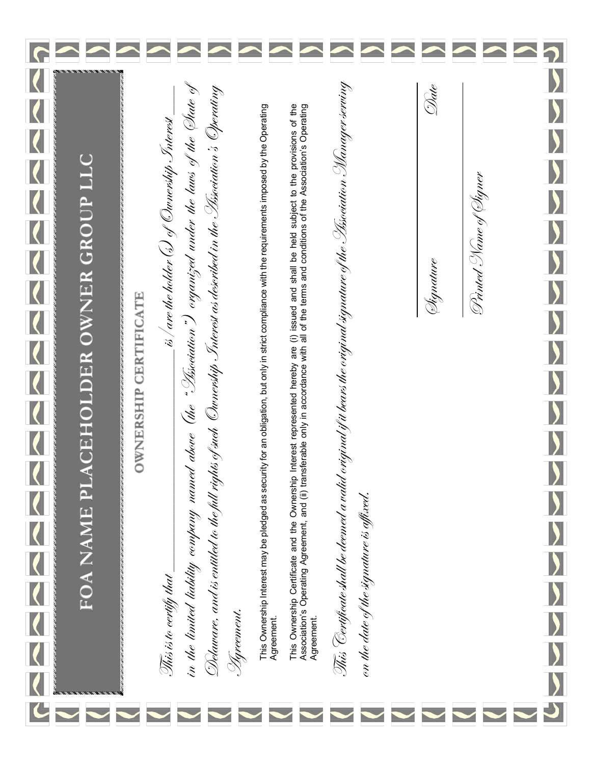|                |                                      |                             |                                                                                                                                       |                                                                                                                                             |                                                                                                                                                                  |                                                                                                                                                                                                                                                 |                                                                                                                           |                                          |           | $\blacktriangle$       |                       |
|----------------|--------------------------------------|-----------------------------|---------------------------------------------------------------------------------------------------------------------------------------|---------------------------------------------------------------------------------------------------------------------------------------------|------------------------------------------------------------------------------------------------------------------------------------------------------------------|-------------------------------------------------------------------------------------------------------------------------------------------------------------------------------------------------------------------------------------------------|---------------------------------------------------------------------------------------------------------------------------|------------------------------------------|-----------|------------------------|-----------------------|
|                |                                      |                             |                                                                                                                                       |                                                                                                                                             |                                                                                                                                                                  |                                                                                                                                                                                                                                                 |                                                                                                                           |                                          |           |                        |                       |
|                |                                      |                             |                                                                                                                                       |                                                                                                                                             |                                                                                                                                                                  |                                                                                                                                                                                                                                                 |                                                                                                                           |                                          | Date      |                        |                       |
|                |                                      |                             |                                                                                                                                       |                                                                                                                                             |                                                                                                                                                                  |                                                                                                                                                                                                                                                 |                                                                                                                           |                                          |           |                        |                       |
|                |                                      |                             |                                                                                                                                       |                                                                                                                                             |                                                                                                                                                                  |                                                                                                                                                                                                                                                 |                                                                                                                           |                                          |           |                        |                       |
|                |                                      |                             |                                                                                                                                       |                                                                                                                                             |                                                                                                                                                                  |                                                                                                                                                                                                                                                 |                                                                                                                           |                                          |           |                        |                       |
|                |                                      |                             |                                                                                                                                       |                                                                                                                                             |                                                                                                                                                                  |                                                                                                                                                                                                                                                 |                                                                                                                           |                                          |           |                        |                       |
|                | FOA NAME PLACEHOLDER OWNER GROUP LLC |                             | $\_$ is / are the holder (s) of Ownership Snierest $\_$                                                                               |                                                                                                                                             |                                                                                                                                                                  |                                                                                                                                                                                                                                                 |                                                                                                                           |                                          |           | Drinted Name of Øigner |                       |
|                |                                      |                             |                                                                                                                                       |                                                                                                                                             |                                                                                                                                                                  |                                                                                                                                                                                                                                                 |                                                                                                                           |                                          | Signature |                        |                       |
|                |                                      | <b>WNERSHIP CERTIFICATE</b> |                                                                                                                                       |                                                                                                                                             |                                                                                                                                                                  |                                                                                                                                                                                                                                                 |                                                                                                                           |                                          |           |                        |                       |
|                |                                      |                             |                                                                                                                                       |                                                                                                                                             |                                                                                                                                                                  |                                                                                                                                                                                                                                                 |                                                                                                                           |                                          |           |                        |                       |
|                |                                      |                             |                                                                                                                                       |                                                                                                                                             |                                                                                                                                                                  |                                                                                                                                                                                                                                                 |                                                                                                                           |                                          |           |                        | $\frac{1}{2}$         |
|                |                                      |                             |                                                                                                                                       |                                                                                                                                             |                                                                                                                                                                  |                                                                                                                                                                                                                                                 |                                                                                                                           |                                          |           |                        |                       |
|                |                                      |                             |                                                                                                                                       |                                                                                                                                             |                                                                                                                                                                  |                                                                                                                                                                                                                                                 |                                                                                                                           |                                          |           |                        | $\blacktriangleright$ |
| $\blacksquare$ |                                      |                             |                                                                                                                                       |                                                                                                                                             |                                                                                                                                                                  |                                                                                                                                                                                                                                                 |                                                                                                                           |                                          |           |                        | W                     |
|                |                                      |                             |                                                                                                                                       |                                                                                                                                             |                                                                                                                                                                  |                                                                                                                                                                                                                                                 |                                                                                                                           |                                          |           |                        |                       |
|                |                                      |                             |                                                                                                                                       |                                                                                                                                             |                                                                                                                                                                  |                                                                                                                                                                                                                                                 |                                                                                                                           |                                          |           |                        |                       |
|                |                                      |                             |                                                                                                                                       |                                                                                                                                             |                                                                                                                                                                  |                                                                                                                                                                                                                                                 |                                                                                                                           |                                          |           |                        |                       |
|                |                                      |                             |                                                                                                                                       |                                                                                                                                             |                                                                                                                                                                  |                                                                                                                                                                                                                                                 |                                                                                                                           |                                          |           |                        |                       |
|                |                                      |                             | in the timited liability company named above (the "Lisociation") organized under the laws of the Date of<br>This is to certify that _ | Delaware, and is entitled to the full rights of such Ownership Interest as described in the Lissociation's Operating<br><u> Sy</u> reement. | This Ownership Interest may be pledged as security for an obligation, but only in strict compliance with the requirements imposed by the Operating<br>Agreement. | This Ownership Certificate and the Ownership Interest represented hereby are (i) issued and shall be held subject to the provisions of the<br>Association's Operating Agreement, and (ii) transferable only in accordance with al<br>Agreement. | This "Certificate shall be deemed a valid original if it bears the original signature of the Lissociation Manager serving | on the date of the signature is affixed. |           |                        |                       |
|                |                                      |                             |                                                                                                                                       |                                                                                                                                             |                                                                                                                                                                  |                                                                                                                                                                                                                                                 |                                                                                                                           |                                          |           |                        |                       |
|                |                                      |                             |                                                                                                                                       |                                                                                                                                             |                                                                                                                                                                  |                                                                                                                                                                                                                                                 |                                                                                                                           |                                          |           |                        |                       |
|                |                                      |                             |                                                                                                                                       |                                                                                                                                             |                                                                                                                                                                  |                                                                                                                                                                                                                                                 |                                                                                                                           |                                          |           |                        |                       |